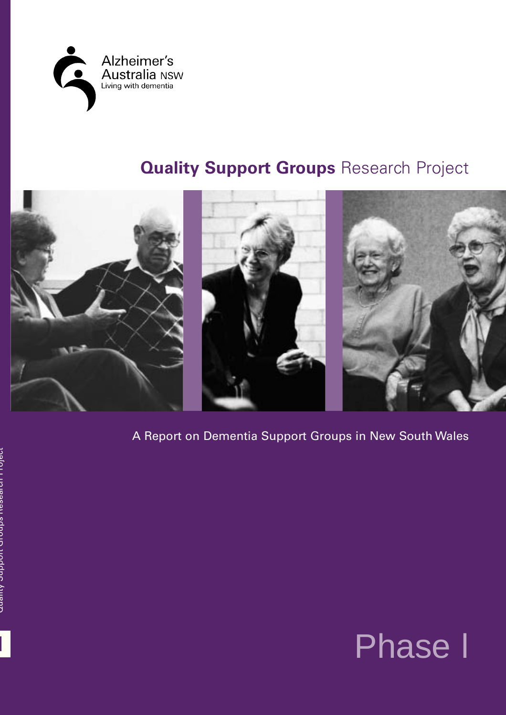

# **Quality Support Groups Research Project**



A Report on Dementia Support Groups in New South Wales

**l**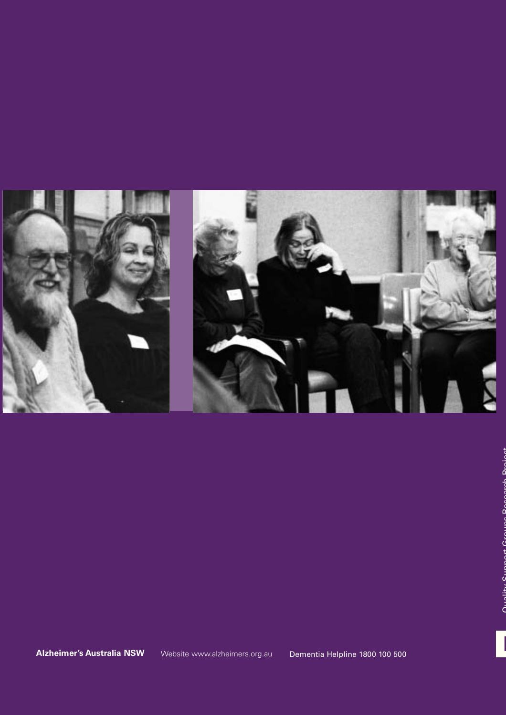

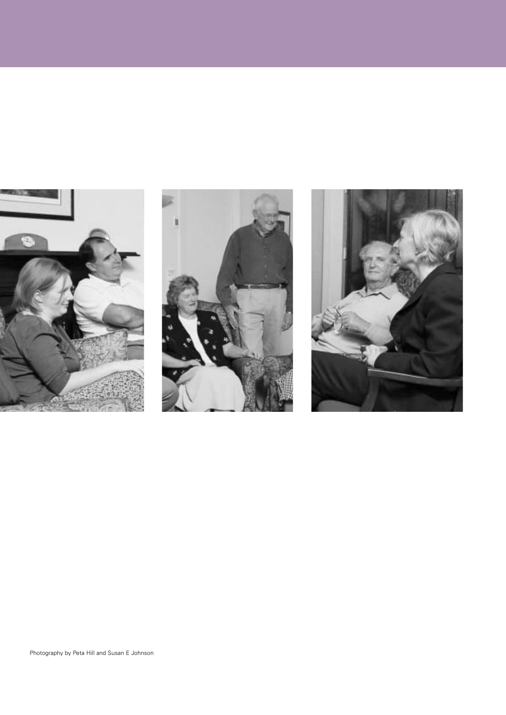



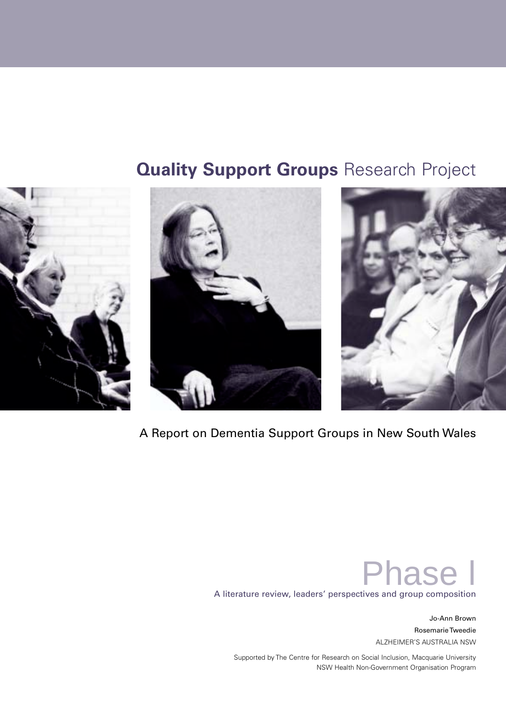# **Quality Support Groups Research Project**







A Report on Dementia Support Groups in New South Wales

Phase l A literature review, leaders' perspectives and group composition

> Jo-Ann Brown Rosemarie Tweedie ALZHEIMER'S AUSTRALIA NSW

Supported by The Centre for Research on Social Inclusion, Macquarie University NSW Health Non-Government Organisation Program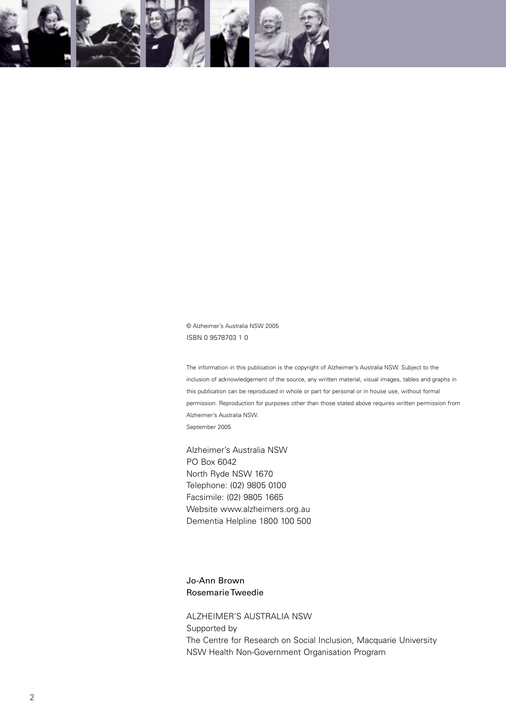

© Alzheimer's Australia NSW 2005 ISBN 0 9578703 1 0

The information in this publication is the copyright of Alzheimer's Australia NSW. Subject to the inclusion of acknowledgement of the source, any written material, visual images, tables and graphs in this publication can be reproduced in whole or part for personal or in house use, without formal permission. Reproduction for purposes other than those stated above requires written permission from Alzheimer's Australia NSW. September 2005

Alzheimer's Australia NSW PO Box 6042 North Ryde NSW 1670 Telephone: (02) 9805 0100 Facsimile: (02) 9805 1665 Website www.alzheimers.org.au Dementia Helpline 1800 100 500

Jo-Ann Brown Rosemarie Tweedie

ALZHEIMER'S AUSTRALIA NSW Supported by The Centre for Research on Social Inclusion, Macquarie University NSW Health Non-Government Organisation Program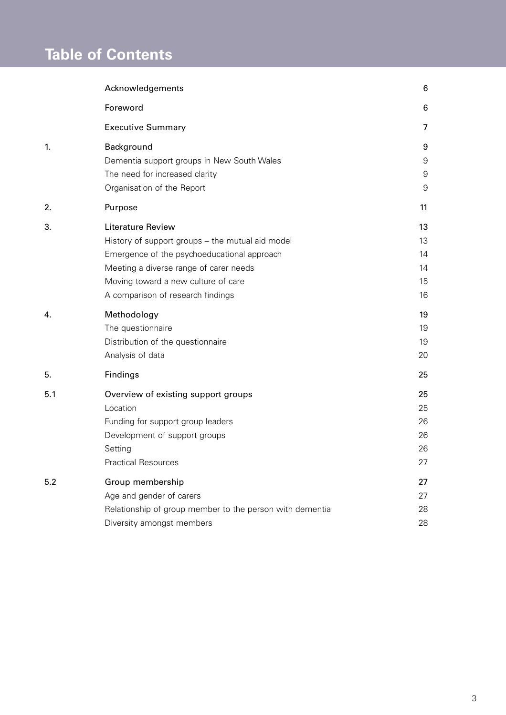# **Table of Contents**

|     | Acknowledgements                                         | 6  |
|-----|----------------------------------------------------------|----|
|     | Foreword                                                 | 6  |
|     | <b>Executive Summary</b>                                 | 7  |
| 1.  | Background                                               | 9  |
|     | Dementia support groups in New South Wales               | 9  |
|     | The need for increased clarity                           | 9  |
|     | Organisation of the Report                               | 9  |
| 2.  | Purpose                                                  | 11 |
| 3.  | Literature Review                                        | 13 |
|     | History of support groups - the mutual aid model         | 13 |
|     | Emergence of the psychoeducational approach              | 14 |
|     | Meeting a diverse range of carer needs                   | 14 |
|     | Moving toward a new culture of care                      | 15 |
|     | A comparison of research findings                        | 16 |
|     |                                                          |    |
| 4.  | Methodology                                              | 19 |
|     | The questionnaire                                        | 19 |
|     | Distribution of the questionnaire                        | 19 |
|     | Analysis of data                                         | 20 |
| 5.  | Findings                                                 | 25 |
| 5.1 | Overview of existing support groups                      | 25 |
|     | Location                                                 | 25 |
|     | Funding for support group leaders                        | 26 |
|     | Development of support groups                            | 26 |
|     | Setting                                                  | 26 |
|     | <b>Practical Resources</b>                               | 27 |
| 5.2 | Group membership                                         | 27 |
|     | Age and gender of carers                                 | 27 |
|     | Relationship of group member to the person with dementia | 28 |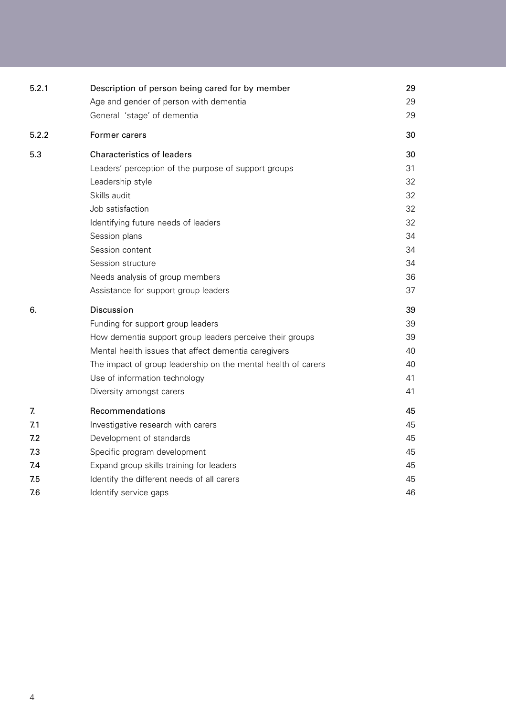| 5.2.1 | Description of person being cared for by member               | 29 |
|-------|---------------------------------------------------------------|----|
|       | Age and gender of person with dementia                        | 29 |
|       | General 'stage' of dementia                                   | 29 |
| 5.2.2 | Former carers                                                 | 30 |
| 5.3   | <b>Characteristics of leaders</b>                             | 30 |
|       | Leaders' perception of the purpose of support groups          | 31 |
|       | Leadership style                                              | 32 |
|       | Skills audit                                                  | 32 |
|       | Job satisfaction                                              | 32 |
|       | Identifying future needs of leaders                           | 32 |
|       | Session plans                                                 | 34 |
|       | Session content                                               | 34 |
|       | Session structure                                             | 34 |
|       | Needs analysis of group members                               | 36 |
|       | Assistance for support group leaders                          | 37 |
| 6.    | Discussion                                                    | 39 |
|       | Funding for support group leaders                             | 39 |
|       | How dementia support group leaders perceive their groups      | 39 |
|       | Mental health issues that affect dementia caregivers          | 40 |
|       | The impact of group leadership on the mental health of carers | 40 |
|       | Use of information technology                                 | 41 |
|       | Diversity amongst carers                                      | 41 |
| 7.    | Recommendations                                               | 45 |
| 7.1   | Investigative research with carers                            | 45 |
| 7.2   | Development of standards                                      | 45 |
| 7.3   | Specific program development                                  | 45 |
| 7.4   | Expand group skills training for leaders                      | 45 |
| 7.5   | Identify the different needs of all carers                    | 45 |
| 7.6   | Identify service gaps                                         | 46 |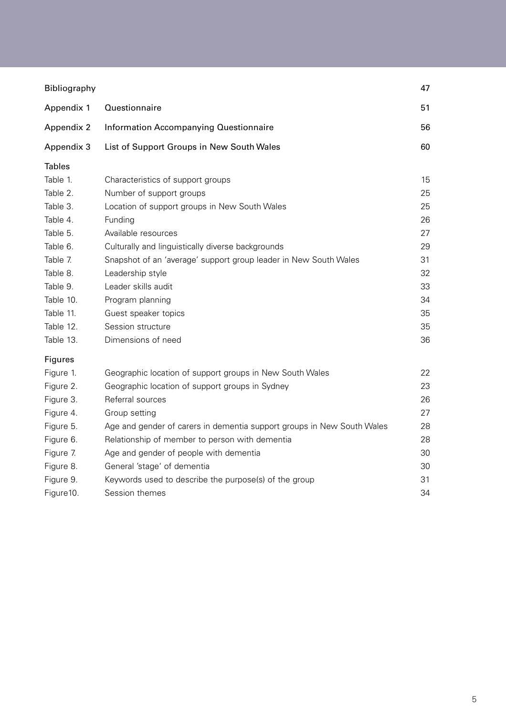| Bibliography  |                                                                        | 47 |
|---------------|------------------------------------------------------------------------|----|
| Appendix 1    | Questionnaire                                                          | 51 |
| Appendix 2    | Information Accompanying Questionnaire                                 | 56 |
| Appendix 3    | List of Support Groups in New South Wales                              | 60 |
| <b>Tables</b> |                                                                        |    |
| Table 1.      | Characteristics of support groups                                      | 15 |
| Table 2.      | Number of support groups                                               | 25 |
| Table 3.      | Location of support groups in New South Wales                          | 25 |
| Table 4.      | Funding                                                                | 26 |
| Table 5.      | Available resources                                                    | 27 |
| Table 6.      | Culturally and linguistically diverse backgrounds                      | 29 |
| Table 7.      | Snapshot of an 'average' support group leader in New South Wales       | 31 |
| Table 8.      | Leadership style                                                       | 32 |
| Table 9.      | Leader skills audit                                                    | 33 |
| Table 10.     | Program planning                                                       | 34 |
| Table 11.     | Guest speaker topics                                                   | 35 |
| Table 12.     | Session structure                                                      | 35 |
| Table 13.     | Dimensions of need                                                     | 36 |
| Figures       |                                                                        |    |
| Figure 1.     | Geographic location of support groups in New South Wales               | 22 |
| Figure 2.     | Geographic location of support groups in Sydney                        | 23 |
| Figure 3.     | Referral sources                                                       | 26 |
| Figure 4.     | Group setting                                                          | 27 |
| Figure 5.     | Age and gender of carers in dementia support groups in New South Wales | 28 |
| Figure 6.     | Relationship of member to person with dementia                         | 28 |
| Figure 7.     | Age and gender of people with dementia                                 | 30 |
| Figure 8.     | General 'stage' of dementia                                            | 30 |
| Figure 9.     | Keywords used to describe the purpose(s) of the group                  | 31 |
| Figure 10.    | Session themes                                                         | 34 |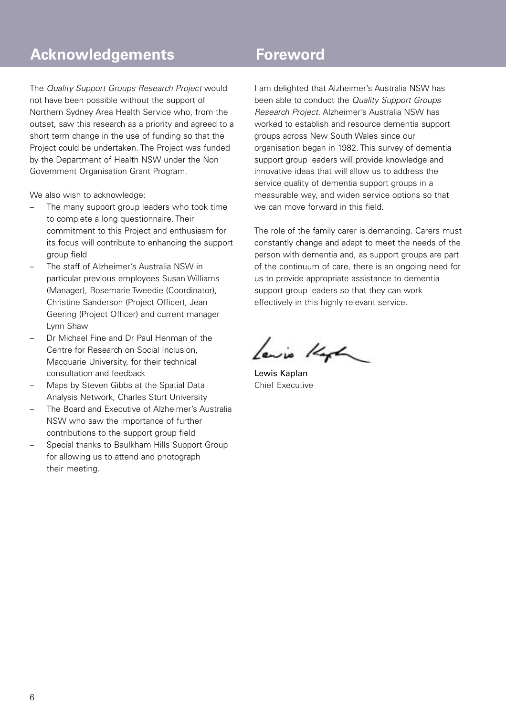## **Acknowledgements**

The Quality Support Groups Research Project would not have been possible without the support of Northern Sydney Area Health Service who, from the outset, saw this research as a priority and agreed to a short term change in the use of funding so that the Project could be undertaken. The Project was funded by the Department of Health NSW under the Non Government Organisation Grant Program.

We also wish to acknowledge:

- The many support group leaders who took time to complete a long questionnaire. Their commitment to this Project and enthusiasm for its focus will contribute to enhancing the support group field
- The staff of Alzheimer's Australia NSW in particular previous employees Susan Williams (Manager), Rosemarie Tweedie (Coordinator), Christine Sanderson (Project Officer), Jean Geering (Project Officer) and current manager Lynn Shaw
- Dr Michael Fine and Dr Paul Henman of the Centre for Research on Social Inclusion, Macquarie University, for their technical consultation and feedback
- Maps by Steven Gibbs at the Spatial Data Analysis Network, Charles Sturt University
- The Board and Executive of Alzheimer's Australia NSW who saw the importance of further contributions to the support group field
- Special thanks to Baulkham Hills Support Group for allowing us to attend and photograph their meeting.

### **Foreword**

I am delighted that Alzheimer's Australia NSW has been able to conduct the Quality Support Groups Research Project. Alzheimer's Australia NSW has worked to establish and resource dementia support groups across New South Wales since our organisation began in 1982. This survey of dementia support group leaders will provide knowledge and innovative ideas that will allow us to address the service quality of dementia support groups in a measurable way, and widen service options so that we can move forward in this field.

The role of the family carer is demanding. Carers must constantly change and adapt to meet the needs of the person with dementia and, as support groups are part of the continuum of care, there is an ongoing need for us to provide appropriate assistance to dementia support group leaders so that they can work effectively in this highly relevant service.

Lewis Keph

Lewis Kaplan Chief Executive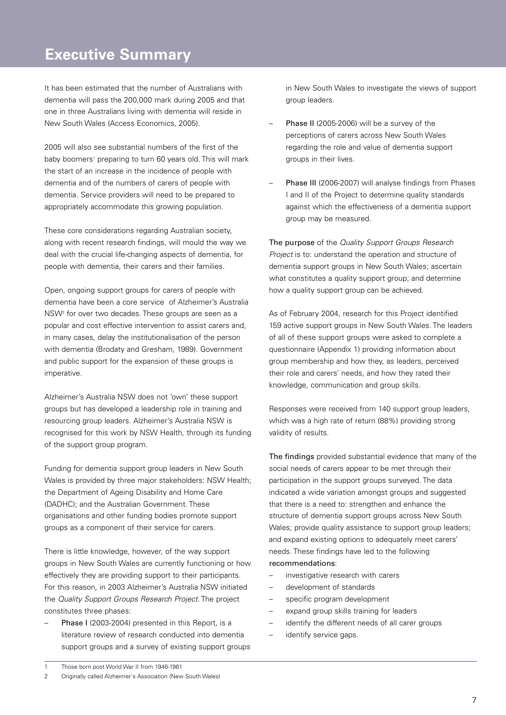### **Executive Summary**

It has been estimated that the number of Australians with dementia will pass the 200,000 mark during 2005 and that one in three Australians living with dementia will reside in New South Wales (Access Economics, 2005).

2005 will also see substantial numbers of the first of the baby boomers<sup>1</sup> preparing to turn 60 years old. This will mark the start of an increase in the incidence of people with dementia and of the numbers of carers of people with dementia. Service providers will need to be prepared to appropriately accommodate this growing population.

These core considerations regarding Australian society, along with recent research findings, will mould the way we deal with the crucial life-changing aspects of dementia, for people with dementia, their carers and their families.

Open, ongoing support groups for carers of people with dementia have been a core service of Alzheimer's Australia NSW2 for over two decades. These groups are seen as a popular and cost effective intervention to assist carers and, in many cases, delay the institutionalisation of the person with dementia (Brodaty and Gresham, 1989). Government and public support for the expansion of these groups is imperative.

Alzheimer's Australia NSW does not 'own' these support groups but has developed a leadership role in training and resourcing group leaders. Alzheimer's Australia NSW is recognised for this work by NSW Health, through its funding of the support group program.

Funding for dementia support group leaders in New South Wales is provided by three major stakeholders: NSW Health; the Department of Ageing Disability and Home Care (DADHC); and the Australian Government. These organisations and other funding bodies promote support groups as a component of their service for carers.

There is little knowledge, however, of the way support groups in New South Wales are currently functioning or how effectively they are providing support to their participants. For this reason, in 2003 Alzheimer's Australia NSW initiated the Quality Support Groups Research Project. The project constitutes three phases:

Phase I (2003-2004) presented in this Report, is a literature review of research conducted into dementia support groups and a survey of existing support groups in New South Wales to investigate the views of support group leaders.

- Phase II (2005-2006) will be a survey of the perceptions of carers across New South Wales regarding the role and value of dementia support groups in their lives.
- Phase III (2006-2007) will analyse findings from Phases I and II of the Project to determine quality standards against which the effectiveness of a dementia support group may be measured.

The purpose of the Quality Support Groups Research Project is to: understand the operation and structure of dementia support groups in New South Wales; ascertain what constitutes a quality support group; and determine how a quality support group can be achieved.

As of February 2004, research for this Project identified 159 active support groups in New South Wales. The leaders of all of these support groups were asked to complete a questionnaire (Appendix 1) providing information about group membership and how they, as leaders, perceived their role and carers' needs, and how they rated their knowledge, communication and group skills.

Responses were received from 140 support group leaders, which was a high rate of return (88%) providing strong validity of results.

The findings provided substantial evidence that many of the social needs of carers appear to be met through their participation in the support groups surveyed. The data indicated a wide variation amongst groups and suggested that there is a need to: strengthen and enhance the structure of dementia support groups across New South Wales; provide quality assistance to support group leaders; and expand existing options to adequately meet carers' needs. These findings have led to the following recommendations:

- investigative research with carers
- development of standards
- specific program development
- expand group skills training for leaders
- identify the different needs of all carer groups
- identify service gaps.

<sup>1</sup> Those born post World War II from 1946-1961

<sup>2</sup> Originally called Alzheimer's Association (New South Wales)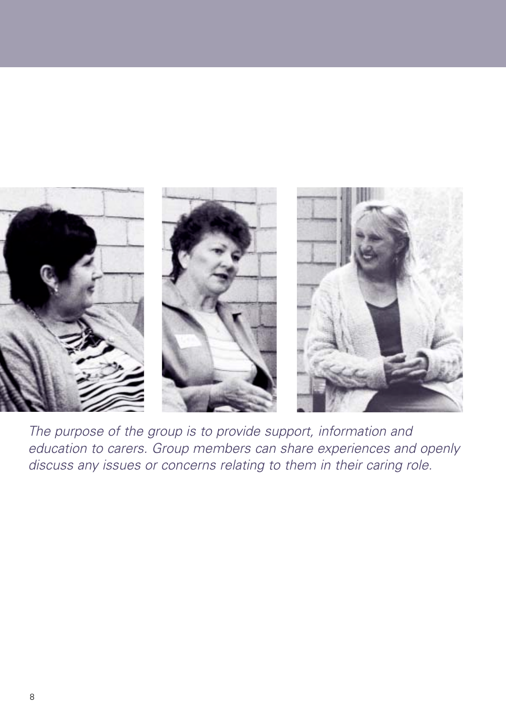

The purpose of the group is to provide support, information and education to carers. Group members can share experiences and openly discuss any issues or concerns relating to them in their caring role.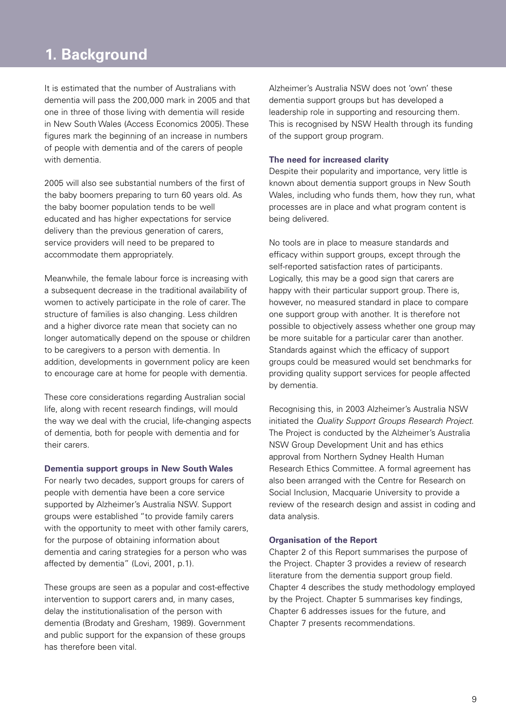## **1. Background**

It is estimated that the number of Australians with dementia will pass the 200,000 mark in 2005 and that one in three of those living with dementia will reside in New South Wales (Access Economics 2005). These figures mark the beginning of an increase in numbers of people with dementia and of the carers of people with dementia.

2005 will also see substantial numbers of the first of the baby boomers preparing to turn 60 years old. As the baby boomer population tends to be well educated and has higher expectations for service delivery than the previous generation of carers. service providers will need to be prepared to accommodate them appropriately.

Meanwhile, the female labour force is increasing with a subsequent decrease in the traditional availability of women to actively participate in the role of carer. The structure of families is also changing. Less children and a higher divorce rate mean that society can no longer automatically depend on the spouse or children to be caregivers to a person with dementia. In addition, developments in government policy are keen to encourage care at home for people with dementia.

These core considerations regarding Australian social life, along with recent research findings, will mould the way we deal with the crucial, life-changing aspects of dementia, both for people with dementia and for their carers.

#### **Dementia support groups in New South Wales**

For nearly two decades, support groups for carers of people with dementia have been a core service supported by Alzheimer's Australia NSW. Support groups were established "to provide family carers with the opportunity to meet with other family carers, for the purpose of obtaining information about dementia and caring strategies for a person who was affected by dementia" (Lovi, 2001, p.1).

These groups are seen as a popular and cost-effective intervention to support carers and, in many cases, delay the institutionalisation of the person with dementia (Brodaty and Gresham, 1989). Government and public support for the expansion of these groups has therefore been vital.

Alzheimer's Australia NSW does not 'own' these dementia support groups but has developed a leadership role in supporting and resourcing them. This is recognised by NSW Health through its funding of the support group program.

#### **The need for increased clarity**

Despite their popularity and importance, very little is known about dementia support groups in New South Wales, including who funds them, how they run, what processes are in place and what program content is being delivered.

No tools are in place to measure standards and efficacy within support groups, except through the self-reported satisfaction rates of participants. Logically, this may be a good sign that carers are happy with their particular support group. There is, however, no measured standard in place to compare one support group with another. It is therefore not possible to objectively assess whether one group may be more suitable for a particular carer than another. Standards against which the efficacy of support groups could be measured would set benchmarks for providing quality support services for people affected by dementia.

Recognising this, in 2003 Alzheimer's Australia NSW initiated the Quality Support Groups Research Project. The Project is conducted by the Alzheimer's Australia NSW Group Development Unit and has ethics approval from Northern Sydney Health Human Research Ethics Committee. A formal agreement has also been arranged with the Centre for Research on Social Inclusion, Macquarie University to provide a review of the research design and assist in coding and data analysis.

#### **Organisation of the Report**

Chapter 2 of this Report summarises the purpose of the Project. Chapter 3 provides a review of research literature from the dementia support group field. Chapter 4 describes the study methodology employed by the Project. Chapter 5 summarises key findings, Chapter 6 addresses issues for the future, and Chapter 7 presents recommendations.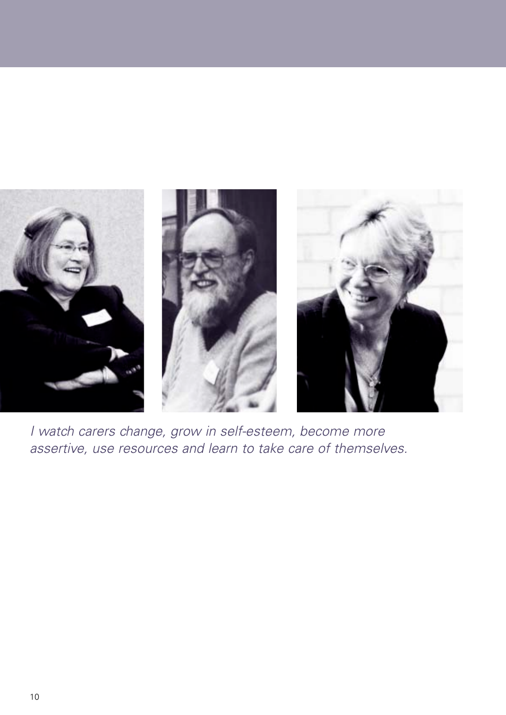

I watch carers change, grow in self-esteem, become more assertive, use resources and learn to take care of themselves.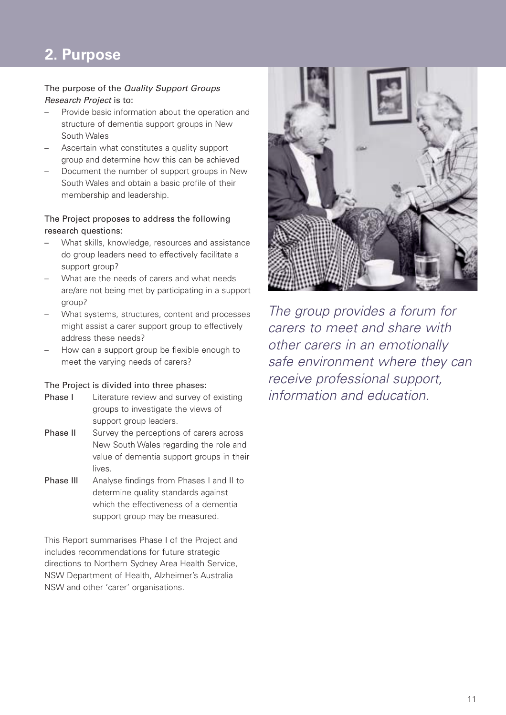# **1. 1. 2 Purpose Background to the Project Background to the Project**

#### The purpose of the Quality Support Groups Research Project is to:

- Provide basic information about the operation and structure of dementia support groups in New South Wales
- Ascertain what constitutes a quality support group and determine how this can be achieved
- Document the number of support groups in New South Wales and obtain a basic profile of their membership and leadership.

#### The Project proposes to address the following research questions:

- What skills, knowledge, resources and assistance do group leaders need to effectively facilitate a support group?
- What are the needs of carers and what needs are/are not being met by participating in a support group?
- What systems, structures, content and processes might assist a carer support group to effectively address these needs?
- How can a support group be flexible enough to meet the varying needs of carers?

#### The Project is divided into three phases:

- Phase I Literature review and survey of existing groups to investigate the views of support group leaders.
- **Phase II** Survey the perceptions of carers across New South Wales regarding the role and value of dementia support groups in their lives.
- Phase III Analyse findings from Phases I and II to determine quality standards against which the effectiveness of a dementia support group may be measured.

This Report summarises Phase I of the Project and includes recommendations for future strategic directions to Northern Sydney Area Health Service, NSW Department of Health, Alzheimer's Australia NSW and other 'carer' organisations.



The group provides a forum for carers to meet and share with other carers in an emotionally safe environment where they can receive professional support, information and education.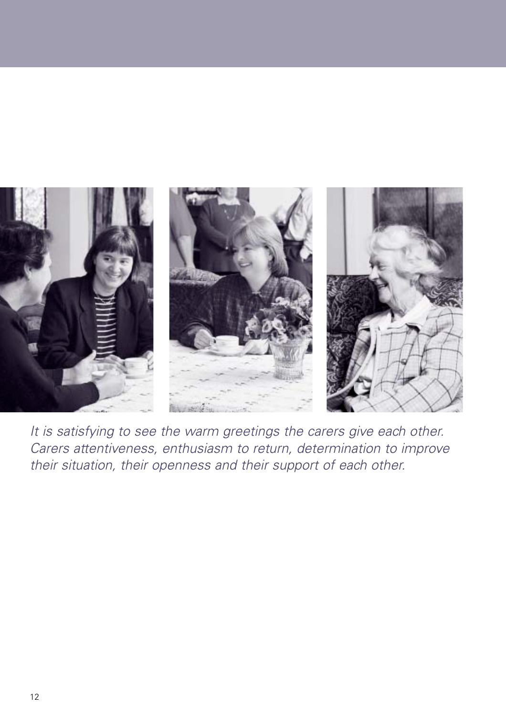

It is satisfying to see the warm greetings the carers give each other. Carers attentiveness, enthusiasm to return, determination to improve their situation, their openness and their support of each other.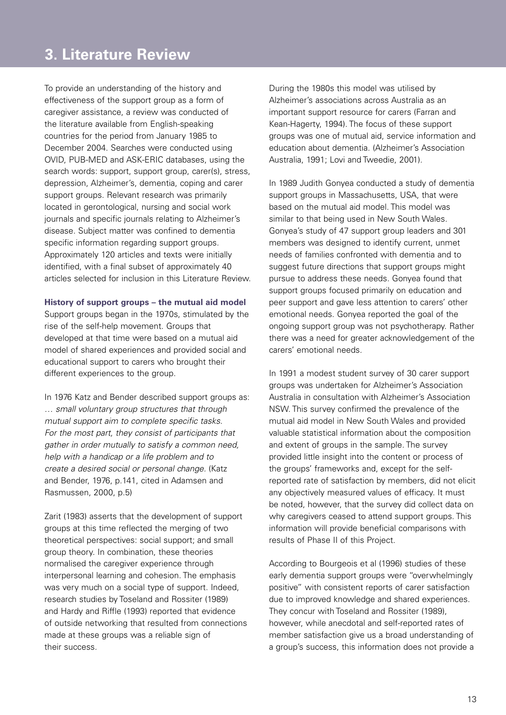### **1. Background Exchange Background to the Project**

To provide an understanding of the history and effectiveness of the support group as a form of caregiver assistance, a review was conducted of the literature available from English-speaking countries for the period from January 1985 to December 2004. Searches were conducted using OVID, PUB-MED and ASK-ERIC databases, using the search words: support, support group, carer(s), stress, depression, Alzheimer's, dementia, coping and carer support groups. Relevant research was primarily located in gerontological, nursing and social work journals and specific journals relating to Alzheimer's disease. Subject matter was confined to dementia specific information regarding support groups. Approximately 120 articles and texts were initially identified, with a final subset of approximately 40 articles selected for inclusion in this Literature Review.

#### **History of support groups – the mutual aid model**

Support groups began in the 1970s, stimulated by the rise of the self-help movement. Groups that developed at that time were based on a mutual aid model of shared experiences and provided social and educational support to carers who brought their different experiences to the group.

In 1976 Katz and Bender described support groups as: … small voluntary group structures that through mutual support aim to complete specific tasks. For the most part, they consist of participants that gather in order mutually to satisfy a common need, help with a handicap or a life problem and to create a desired social or personal change. (Katz and Bender, 1976, p.141, cited in Adamsen and Rasmussen, 2000, p.5)

Zarit (1983) asserts that the development of support groups at this time reflected the merging of two theoretical perspectives: social support; and small group theory. In combination, these theories normalised the caregiver experience through interpersonal learning and cohesion. The emphasis was very much on a social type of support. Indeed, research studies by Toseland and Rossiter (1989) and Hardy and Riffle (1993) reported that evidence of outside networking that resulted from connections made at these groups was a reliable sign of their success.

During the 1980s this model was utilised by Alzheimer's associations across Australia as an important support resource for carers (Farran and Kean-Hagerty, 1994). The focus of these support groups was one of mutual aid, service information and education about dementia. (Alzheimer's Association Australia, 1991; Lovi and Tweedie, 2001).

In 1989 Judith Gonyea conducted a study of dementia support groups in Massachusetts, USA, that were based on the mutual aid model. This model was similar to that being used in New South Wales. Gonyea's study of 47 support group leaders and 301 members was designed to identify current, unmet needs of families confronted with dementia and to suggest future directions that support groups might pursue to address these needs. Gonyea found that support groups focused primarily on education and peer support and gave less attention to carers' other emotional needs. Gonyea reported the goal of the ongoing support group was not psychotherapy. Rather there was a need for greater acknowledgement of the carers' emotional needs.

In 1991 a modest student survey of 30 carer support groups was undertaken for Alzheimer's Association Australia in consultation with Alzheimer's Association NSW. This survey confirmed the prevalence of the mutual aid model in New South Wales and provided valuable statistical information about the composition and extent of groups in the sample. The survey provided little insight into the content or process of the groups' frameworks and, except for the selfreported rate of satisfaction by members, did not elicit any objectively measured values of efficacy. It must be noted, however, that the survey did collect data on why caregivers ceased to attend support groups. This information will provide beneficial comparisons with results of Phase II of this Project.

According to Bourgeois et al (1996) studies of these early dementia support groups were "overwhelmingly positive" with consistent reports of carer satisfaction due to improved knowledge and shared experiences. They concur with Toseland and Rossiter (1989), however, while anecdotal and self-reported rates of member satisfaction give us a broad understanding of a group's success, this information does not provide a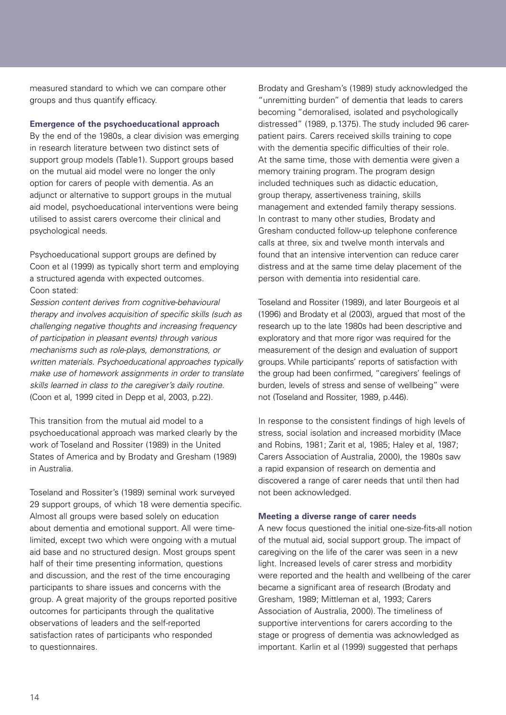measured standard to which we can compare other groups and thus quantify efficacy.

#### **Emergence of the psychoeducational approach**

By the end of the 1980s, a clear division was emerging in research literature between two distinct sets of support group models (Table1). Support groups based on the mutual aid model were no longer the only option for carers of people with dementia. As an adjunct or alternative to support groups in the mutual aid model, psychoeducational interventions were being utilised to assist carers overcome their clinical and psychological needs.

Psychoeducational support groups are defined by Coon et al (1999) as typically short term and employing a structured agenda with expected outcomes. Coon stated:

Session content derives from cognitive-behavioural therapy and involves acquisition of specific skills (such as challenging negative thoughts and increasing frequency of participation in pleasant events) through various mechanisms such as role-plays, demonstrations, or written materials. Psychoeducational approaches typically make use of homework assignments in order to translate skills learned in class to the caregiver's daily routine. (Coon et al, 1999 cited in Depp et al, 2003, p.22).

This transition from the mutual aid model to a psychoeducational approach was marked clearly by the work of Toseland and Rossiter (1989) in the United States of America and by Brodaty and Gresham (1989) in Australia.

Toseland and Rossiter's (1989) seminal work surveyed 29 support groups, of which 18 were dementia specific. Almost all groups were based solely on education about dementia and emotional support. All were timelimited, except two which were ongoing with a mutual aid base and no structured design. Most groups spent half of their time presenting information, questions and discussion, and the rest of the time encouraging participants to share issues and concerns with the group. A great majority of the groups reported positive outcomes for participants through the qualitative observations of leaders and the self-reported satisfaction rates of participants who responded to questionnaires.

Brodaty and Gresham's (1989) study acknowledged the "unremitting burden" of dementia that leads to carers becoming "demoralised, isolated and psychologically distressed" (1989, p.1375). The study included 96 carerpatient pairs. Carers received skills training to cope with the dementia specific difficulties of their role. At the same time, those with dementia were given a memory training program. The program design included techniques such as didactic education, group therapy, assertiveness training, skills management and extended family therapy sessions. In contrast to many other studies, Brodaty and Gresham conducted follow-up telephone conference calls at three, six and twelve month intervals and found that an intensive intervention can reduce carer distress and at the same time delay placement of the person with dementia into residential care.

Toseland and Rossiter (1989), and later Bourgeois et al (1996) and Brodaty et al (2003), argued that most of the research up to the late 1980s had been descriptive and exploratory and that more rigor was required for the measurement of the design and evaluation of support groups. While participants' reports of satisfaction with the group had been confirmed, "caregivers' feelings of burden, levels of stress and sense of wellbeing" were not (Toseland and Rossiter, 1989, p.446).

In response to the consistent findings of high levels of stress, social isolation and increased morbidity (Mace and Robins, 1981; Zarit et al, 1985; Haley et al, 1987; Carers Association of Australia, 2000), the 1980s saw a rapid expansion of research on dementia and discovered a range of carer needs that until then had not been acknowledged.

#### **Meeting a diverse range of carer needs**

A new focus questioned the initial one-size-fits-all notion of the mutual aid, social support group. The impact of caregiving on the life of the carer was seen in a new light. Increased levels of carer stress and morbidity were reported and the health and wellbeing of the carer became a significant area of research (Brodaty and Gresham, 1989; Mittleman et al, 1993; Carers Association of Australia, 2000). The timeliness of supportive interventions for carers according to the stage or progress of dementia was acknowledged as important. Karlin et al (1999) suggested that perhaps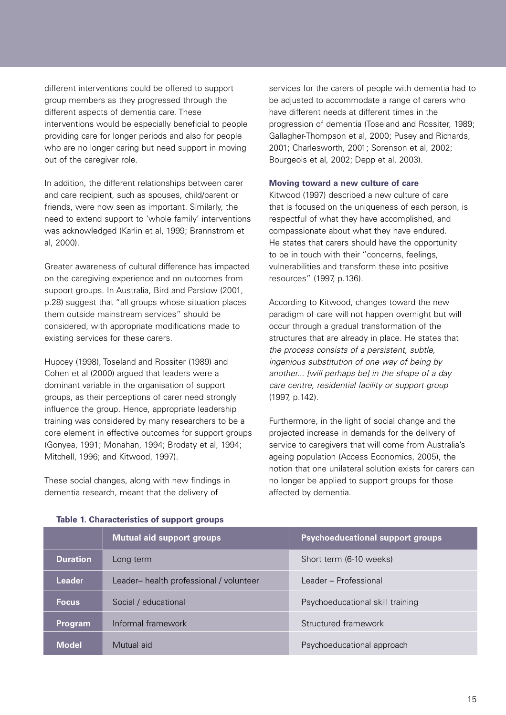different interventions could be offered to support group members as they progressed through the different aspects of dementia care. These interventions would be especially beneficial to people providing care for longer periods and also for people who are no longer caring but need support in moving out of the caregiver role.

In addition, the different relationships between carer and care recipient, such as spouses, child/parent or friends, were now seen as important. Similarly, the need to extend support to 'whole family' interventions was acknowledged (Karlin et al, 1999; Brannstrom et al, 2000).

Greater awareness of cultural difference has impacted on the caregiving experience and on outcomes from support groups. In Australia, Bird and Parslow (2001, p.28) suggest that "all groups whose situation places them outside mainstream services" should be considered, with appropriate modifications made to existing services for these carers.

Hupcey (1998), Toseland and Rossiter (1989) and Cohen et al (2000) argued that leaders were a dominant variable in the organisation of support groups, as their perceptions of carer need strongly influence the group. Hence, appropriate leadership training was considered by many researchers to be a core element in effective outcomes for support groups (Gonyea, 1991; Monahan, 1994; Brodaty et al, 1994; Mitchell, 1996; and Kitwood, 1997).

These social changes, along with new findings in dementia research, meant that the delivery of

services for the carers of people with dementia had to be adjusted to accommodate a range of carers who have different needs at different times in the progression of dementia (Toseland and Rossiter, 1989; Gallagher-Thompson et al, 2000; Pusey and Richards, 2001; Charlesworth, 2001; Sorenson et al, 2002; Bourgeois et al, 2002; Depp et al, 2003).

#### **Moving toward a new culture of care**

Kitwood (1997) described a new culture of care that is focused on the uniqueness of each person, is respectful of what they have accomplished, and compassionate about what they have endured. He states that carers should have the opportunity to be in touch with their "concerns, feelings, vulnerabilities and transform these into positive resources" (1997, p.136).

According to Kitwood, changes toward the new paradigm of care will not happen overnight but will occur through a gradual transformation of the structures that are already in place. He states that the process consists of a persistent, subtle, ingenious substitution of one way of being by another... [will perhaps be] in the shape of a day care centre, residential facility or support group (1997, p.142).

Furthermore, in the light of social change and the projected increase in demands for the delivery of service to caregivers that will come from Australia's ageing population (Access Economics, 2005), the notion that one unilateral solution exists for carers can no longer be applied to support groups for those affected by dementia.

|                 | <b>Mutual aid support groups</b>       | <b>Psychoeducational support groups</b> |
|-----------------|----------------------------------------|-----------------------------------------|
| <b>Duration</b> | Long term                              | Short term (6-10 weeks)                 |
| Leader          | Leader-health professional / volunteer | Leader - Professional                   |
| <b>Focus</b>    | Social / educational                   | Psychoeducational skill training        |
| <b>Program</b>  | Informal framework                     | Structured framework                    |
| Model           | Mutual aid                             | Psychoeducational approach              |

#### **Table 1. Characteristics of support groups**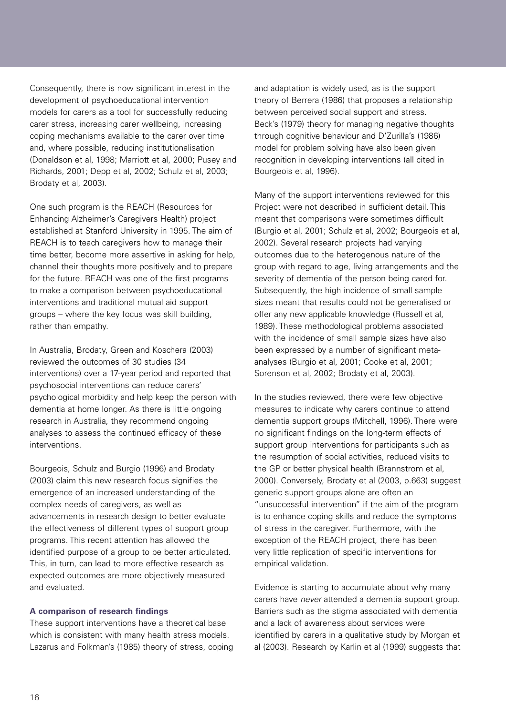Consequently, there is now significant interest in the development of psychoeducational intervention models for carers as a tool for successfully reducing carer stress, increasing carer wellbeing, increasing coping mechanisms available to the carer over time and, where possible, reducing institutionalisation (Donaldson et al, 1998; Marriott et al, 2000; Pusey and Richards, 2001; Depp et al, 2002; Schulz et al, 2003; Brodaty et al, 2003).

One such program is the REACH (Resources for Enhancing Alzheimer's Caregivers Health) project established at Stanford University in 1995. The aim of REACH is to teach caregivers how to manage their time better, become more assertive in asking for help, channel their thoughts more positively and to prepare for the future. REACH was one of the first programs to make a comparison between psychoeducational interventions and traditional mutual aid support groups – where the key focus was skill building, rather than empathy.

In Australia, Brodaty, Green and Koschera (2003) reviewed the outcomes of 30 studies (34 interventions) over a 17-year period and reported that psychosocial interventions can reduce carers' psychological morbidity and help keep the person with dementia at home longer. As there is little ongoing research in Australia, they recommend ongoing analyses to assess the continued efficacy of these interventions.

Bourgeois, Schulz and Burgio (1996) and Brodaty (2003) claim this new research focus signifies the emergence of an increased understanding of the complex needs of caregivers, as well as advancements in research design to better evaluate the effectiveness of different types of support group programs. This recent attention has allowed the identified purpose of a group to be better articulated. This, in turn, can lead to more effective research as expected outcomes are more objectively measured and evaluated.

#### **A comparison of research findings**

These support interventions have a theoretical base which is consistent with many health stress models. Lazarus and Folkman's (1985) theory of stress, coping and adaptation is widely used, as is the support theory of Berrera (1986) that proposes a relationship between perceived social support and stress. Beck's (1979) theory for managing negative thoughts through cognitive behaviour and D'Zurilla's (1986) model for problem solving have also been given recognition in developing interventions (all cited in Bourgeois et al, 1996).

Many of the support interventions reviewed for this Project were not described in sufficient detail. This meant that comparisons were sometimes difficult (Burgio et al, 2001; Schulz et al, 2002; Bourgeois et al, 2002). Several research projects had varying outcomes due to the heterogenous nature of the group with regard to age, living arrangements and the severity of dementia of the person being cared for. Subsequently, the high incidence of small sample sizes meant that results could not be generalised or offer any new applicable knowledge (Russell et al, 1989). These methodological problems associated with the incidence of small sample sizes have also been expressed by a number of significant metaanalyses (Burgio et al, 2001; Cooke et al, 2001; Sorenson et al, 2002; Brodaty et al, 2003).

In the studies reviewed, there were few objective measures to indicate why carers continue to attend dementia support groups (Mitchell, 1996). There were no significant findings on the long-term effects of support group interventions for participants such as the resumption of social activities, reduced visits to the GP or better physical health (Brannstrom et al, 2000). Conversely, Brodaty et al (2003, p.663) suggest generic support groups alone are often an "unsuccessful intervention" if the aim of the program is to enhance coping skills and reduce the symptoms of stress in the caregiver. Furthermore, with the exception of the REACH project, there has been very little replication of specific interventions for empirical validation.

Evidence is starting to accumulate about why many carers have never attended a dementia support group. Barriers such as the stigma associated with dementia and a lack of awareness about services were identified by carers in a qualitative study by Morgan et al (2003). Research by Karlin et al (1999) suggests that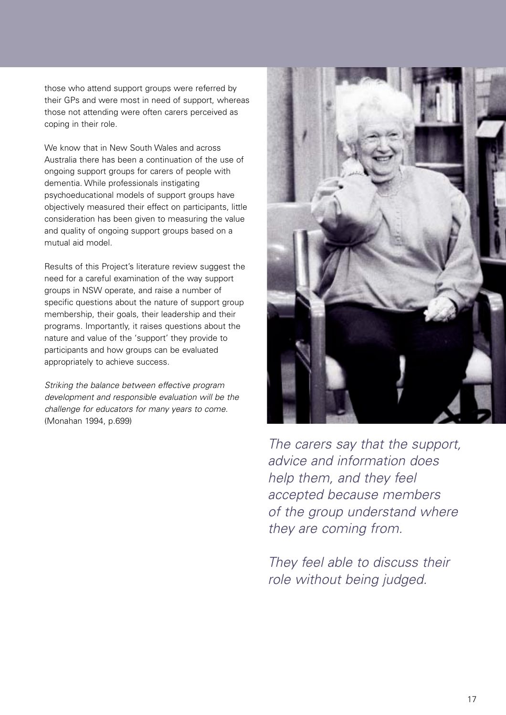those who attend support groups were referred by their GPs and were most in need of support, whereas those not attending were often carers perceived as coping in their role.

We know that in New South Wales and across Australia there has been a continuation of the use of ongoing support groups for carers of people with dementia. While professionals instigating psychoeducational models of support groups have objectively measured their effect on participants, little consideration has been given to measuring the value and quality of ongoing support groups based on a mutual aid model.

Results of this Project's literature review suggest the need for a careful examination of the way support groups in NSW operate, and raise a number of specific questions about the nature of support group membership, their goals, their leadership and their programs. Importantly, it raises questions about the nature and value of the 'support' they provide to participants and how groups can be evaluated appropriately to achieve success.

Striking the balance between effective program development and responsible evaluation will be the challenge for educators for many years to come. (Monahan 1994, p.699)



The carers say that the support, advice and information does help them, and they feel accepted because members of the group understand where they are coming from.

They feel able to discuss their role without being judged.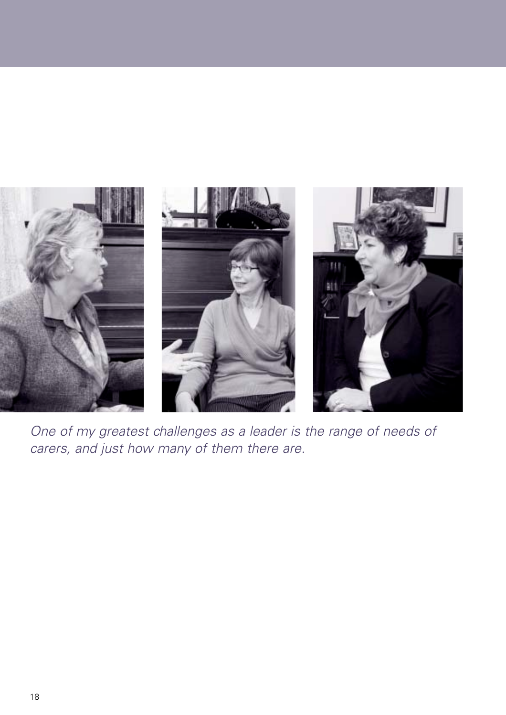

One of my greatest challenges as a leader is the range of needs of carers, and just how many of them there are.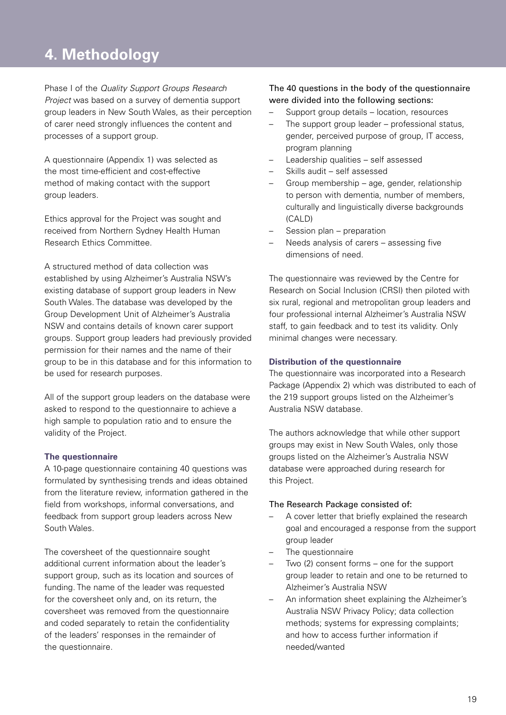### **1. Background to the Project 4. Methodology**

Phase I of the Quality Support Groups Research Project was based on a survey of dementia support group leaders in New South Wales, as their perception of carer need strongly influences the content and processes of a support group.

A questionnaire (Appendix 1) was selected as the most time-efficient and cost-effective method of making contact with the support group leaders.

Ethics approval for the Project was sought and received from Northern Sydney Health Human Research Ethics Committee.

A structured method of data collection was established by using Alzheimer's Australia NSW's existing database of support group leaders in New South Wales. The database was developed by the Group Development Unit of Alzheimer's Australia NSW and contains details of known carer support groups. Support group leaders had previously provided permission for their names and the name of their group to be in this database and for this information to be used for research purposes.

All of the support group leaders on the database were asked to respond to the questionnaire to achieve a high sample to population ratio and to ensure the validity of the Project.

#### **The questionnaire**

A 10-page questionnaire containing 40 questions was formulated by synthesising trends and ideas obtained from the literature review, information gathered in the field from workshops, informal conversations, and feedback from support group leaders across New South Wales.

The coversheet of the questionnaire sought additional current information about the leader's support group, such as its location and sources of funding. The name of the leader was requested for the coversheet only and, on its return, the coversheet was removed from the questionnaire and coded separately to retain the confidentiality of the leaders' responses in the remainder of the questionnaire.

The 40 questions in the body of the questionnaire were divided into the following sections:

- Support group details location, resources
- The support group leader professional status, gender, perceived purpose of group, IT access, program planning
- Leadership qualities self assessed
- Skills audit self assessed
- Group membership age, gender, relationship to person with dementia, number of members, culturally and linguistically diverse backgrounds (CALD)
- Session plan preparation
- Needs analysis of carers assessing five dimensions of need.

The questionnaire was reviewed by the Centre for Research on Social Inclusion (CRSI) then piloted with six rural, regional and metropolitan group leaders and four professional internal Alzheimer's Australia NSW staff, to gain feedback and to test its validity. Only minimal changes were necessary.

#### **Distribution of the questionnaire**

The questionnaire was incorporated into a Research Package (Appendix 2) which was distributed to each of the 219 support groups listed on the Alzheimer's Australia NSW database.

The authors acknowledge that while other support groups may exist in New South Wales, only those groups listed on the Alzheimer's Australia NSW database were approached during research for this Project.

#### The Research Package consisted of:

- A cover letter that briefly explained the research goal and encouraged a response from the support group leader
- The questionnaire
- Two (2) consent forms one for the support group leader to retain and one to be returned to Alzheimer's Australia NSW
- An information sheet explaining the Alzheimer's Australia NSW Privacy Policy; data collection methods; systems for expressing complaints; and how to access further information if needed/wanted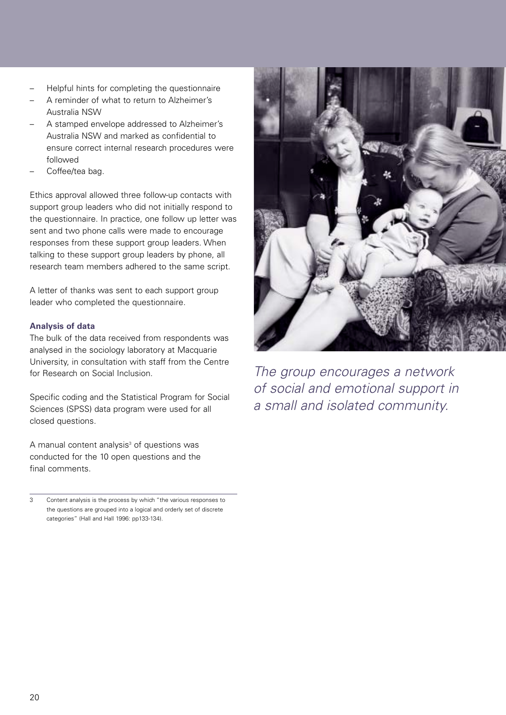- Helpful hints for completing the questionnaire
- A reminder of what to return to Alzheimer's Australia NSW
- A stamped envelope addressed to Alzheimer's Australia NSW and marked as confidential to ensure correct internal research procedures were followed
- Coffee/tea bag.

Ethics approval allowed three follow-up contacts with support group leaders who did not initially respond to the questionnaire. In practice, one follow up letter was sent and two phone calls were made to encourage responses from these support group leaders. When talking to these support group leaders by phone, all research team members adhered to the same script.

A letter of thanks was sent to each support group leader who completed the questionnaire.

### **Analysis of data**

The bulk of the data received from respondents was analysed in the sociology laboratory at Macquarie University, in consultation with staff from the Centre for Research on Social Inclusion.

Specific coding and the Statistical Program for Social Sciences (SPSS) data program were used for all closed questions.

A manual content analysis $3$  of questions was conducted for the 10 open questions and the final comments.

3 Content analysis is the process by which "the various responses to the questions are grouped into a logical and orderly set of discrete categories" (Hall and Hall 1996: pp133-134).



The group encourages a network of social and emotional support in a small and isolated community.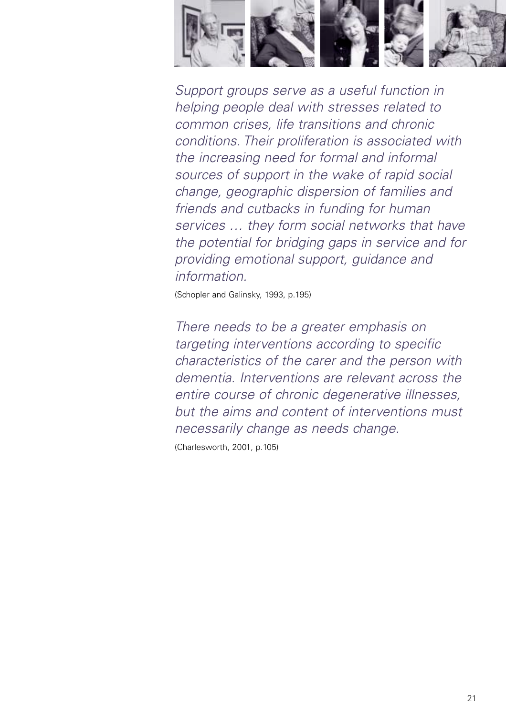

Support groups serve as a useful function in helping people deal with stresses related to common crises, life transitions and chronic conditions. Their proliferation is associated with the increasing need for formal and informal sources of support in the wake of rapid social change, geographic dispersion of families and friends and cutbacks in funding for human services … they form social networks that have the potential for bridging gaps in service and for providing emotional support, guidance and information.

(Schopler and Galinsky, 1993, p.195)

There needs to be a greater emphasis on targeting interventions according to specific characteristics of the carer and the person with dementia. Interventions are relevant across the entire course of chronic degenerative illnesses, but the aims and content of interventions must necessarily change as needs change.

(Charlesworth, 2001, p.105)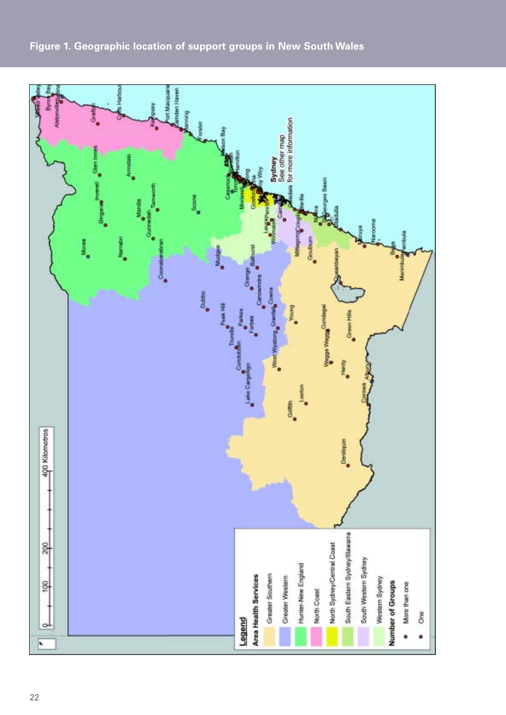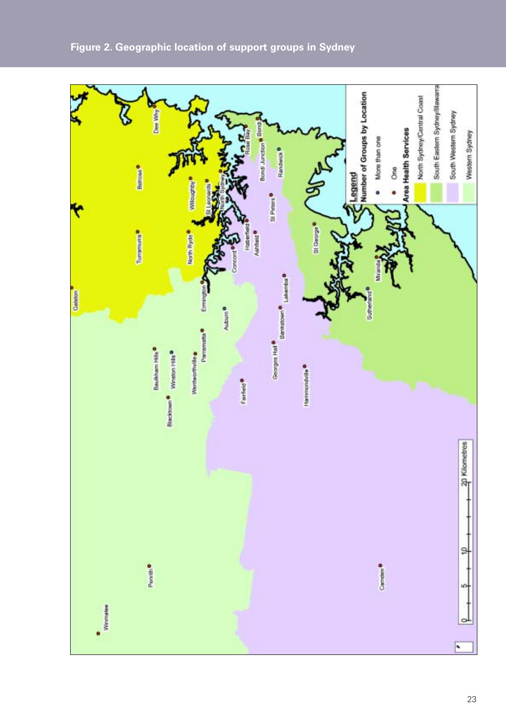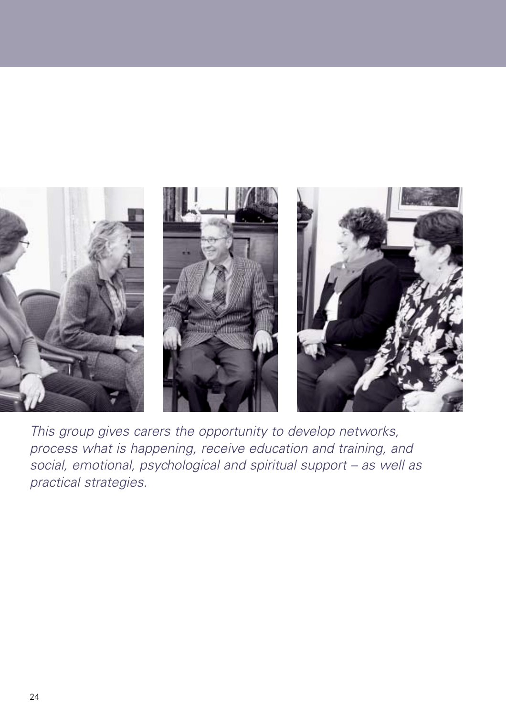

This group gives carers the opportunity to develop networks, process what is happening, receive education and training, and social, emotional, psychological and spiritual support – as well as practical strategies.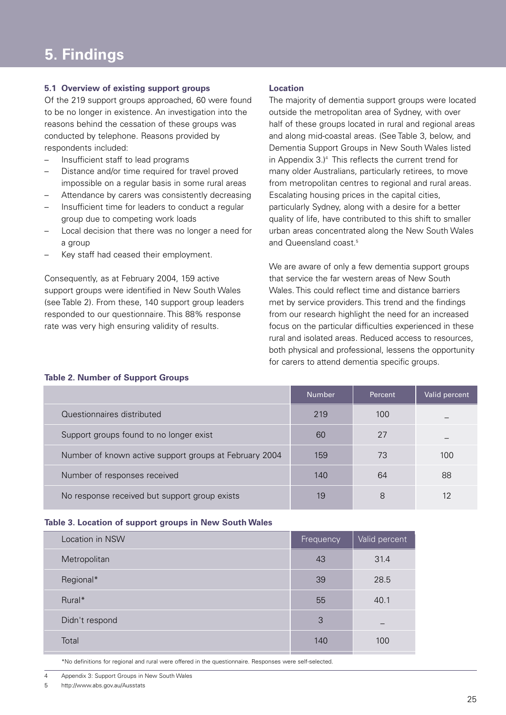#### **5.1 Overview of existing support groups**

Of the 219 support groups approached, 60 were found to be no longer in existence. An investigation into the reasons behind the cessation of these groups was conducted by telephone. Reasons provided by respondents included:

- Insufficient staff to lead programs
- Distance and/or time required for travel proved impossible on a regular basis in some rural areas
- Attendance by carers was consistently decreasing
- Insufficient time for leaders to conduct a regular group due to competing work loads
- Local decision that there was no longer a need for a group
- Key staff had ceased their employment.

Consequently, as at February 2004, 159 active support groups were identified in New South Wales (see Table 2). From these, 140 support group leaders responded to our questionnaire. This 88% response rate was very high ensuring validity of results.

#### **Location**

The majority of dementia support groups were located outside the metropolitan area of Sydney, with over half of these groups located in rural and regional areas and along mid-coastal areas. (See Table 3, below, and Dementia Support Groups in New South Wales listed in Appendix  $3.$ <sup>4</sup> This reflects the current trend for many older Australians, particularly retirees, to move from metropolitan centres to regional and rural areas. Escalating housing prices in the capital cities, particularly Sydney, along with a desire for a better quality of life, have contributed to this shift to smaller urban areas concentrated along the New South Wales and Queensland coast.<sup>5</sup>

We are aware of only a few dementia support groups that service the far western areas of New South Wales. This could reflect time and distance barriers met by service providers. This trend and the findings from our research highlight the need for an increased focus on the particular difficulties experienced in these rural and isolated areas. Reduced access to resources, both physical and professional, lessens the opportunity for carers to attend dementia specific groups.

|                                                        | <b>Number</b> | Percent | Valid percent     |
|--------------------------------------------------------|---------------|---------|-------------------|
| Questionnaires distributed                             | 219           | 100     |                   |
| Support groups found to no longer exist                | 60            | 27      |                   |
| Number of known active support groups at February 2004 | 159           | 73      | 100               |
| Number of responses received                           | 140           | 64      | 88                |
| No response received but support group exists          | 19            | 8       | $12 \overline{ }$ |

# **Table 2. Number of Support Groups**

#### **Table 3. Location of support groups in New South Wales**

| Location in NSW | Frequency | Valid percent |
|-----------------|-----------|---------------|
| Metropolitan    | 43        | 31.4          |
| Regional*       | 39        | 28.5          |
| Rural*          | 55        | 40.1          |
| Didn't respond  | 3         |               |
| Total           | 140       | 100           |
|                 |           |               |

\*No definitions for regional and rural were offered in the questionnaire. Responses were self-selected.

4 Appendix 3: Support Groups in New South Wales

5 http://www.abs.gov.au/Ausstats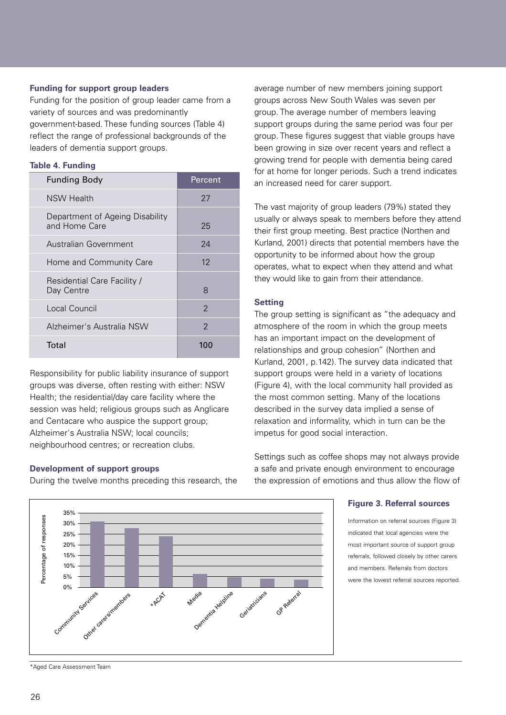#### **Funding for support group leaders**

Funding for the position of group leader came from a variety of sources and was predominantly government-based. These funding sources (Table 4) reflect the range of professional backgrounds of the leaders of dementia support groups.

#### **Table 4. Funding**

| <b>Funding Body</b>                              | Percent           |
|--------------------------------------------------|-------------------|
| <b>NSW Health</b>                                | 27                |
| Department of Ageing Disability<br>and Home Care | 25                |
| Australian Government                            | 24                |
| Home and Community Care                          | $12 \overline{ }$ |
| Residential Care Facility /<br>Day Centre        | 8                 |
| Local Council                                    | $\mathcal{P}$     |
| Alzheimer's Australia NSW                        | 2                 |
| Total                                            | 100               |

Responsibility for public liability insurance of support groups was diverse, often resting with either: NSW Health; the residential/day care facility where the session was held; religious groups such as Anglicare and Centacare who auspice the support group; Alzheimer's Australia NSW; local councils; neighbourhood centres; or recreation clubs.

#### **Development of support groups**

During the twelve months preceding this research, the

average number of new members joining support groups across New South Wales was seven per group. The average number of members leaving support groups during the same period was four per group. These figures suggest that viable groups have been growing in size over recent years and reflect a growing trend for people with dementia being cared for at home for longer periods. Such a trend indicates an increased need for carer support.

The vast majority of group leaders (79%) stated they usually or always speak to members before they attend their first group meeting. Best practice (Northen and Kurland, 2001) directs that potential members have the opportunity to be informed about how the group operates, what to expect when they attend and what they would like to gain from their attendance.

#### **Setting**

The group setting is significant as "the adequacy and atmosphere of the room in which the group meets has an important impact on the development of relationships and group cohesion" (Northen and Kurland, 2001, p.142). The survey data indicated that support groups were held in a variety of locations (Figure 4), with the local community hall provided as the most common setting. Many of the locations described in the survey data implied a sense of relaxation and informality, which in turn can be the impetus for good social interaction.

Settings such as coffee shops may not always provide a safe and private enough environment to encourage the expression of emotions and thus allow the flow of

#### **Figure 3. Referral sources**

Information on referral sources (Figure 3) indicated that local agencies were the most important source of support group referrals, followed closely by other carers and members. Referrals from doctors were the lowest referral sources reported.



<sup>\*</sup>Aged Care Assessment Team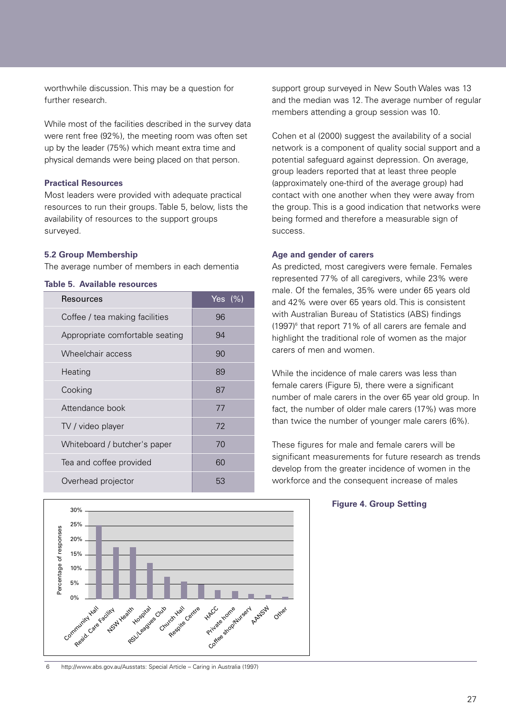worthwhile discussion. This may be a question for further research.

While most of the facilities described in the survey data were rent free (92%), the meeting room was often set up by the leader (75%) which meant extra time and physical demands were being placed on that person.

#### **Practical Resources**

Most leaders were provided with adequate practical resources to run their groups. Table 5, below, lists the availability of resources to the support groups surveyed.

#### **5.2 Group Membership**

The average number of members in each dementia

#### **Table 5. Available resources**

| Resources                       | Yes $(%)$ |
|---------------------------------|-----------|
| Coffee / tea making facilities  | 96        |
| Appropriate comfortable seating | 94        |
| Wheelchair access               | 90        |
| Heating                         | 89        |
| Cooking                         | 87        |
| Attendance book                 | 77        |
| TV / video player               | 72        |
| Whiteboard / butcher's paper    | 70        |
| Tea and coffee provided         | 60        |
| Overhead projector              | 53        |



support group surveyed in New South Wales was 13 and the median was 12. The average number of regular members attending a group session was 10.

Cohen et al (2000) suggest the availability of a social network is a component of quality social support and a potential safeguard against depression. On average, group leaders reported that at least three people (approximately one-third of the average group) had contact with one another when they were away from the group. This is a good indication that networks were being formed and therefore a measurable sign of success.

#### **Age and gender of carers**

As predicted, most caregivers were female. Females represented 77% of all caregivers, while 23% were male. Of the females, 35% were under 65 years old and 42% were over 65 years old. This is consistent with Australian Bureau of Statistics (ABS) findings (1997)6 that report 71% of all carers are female and highlight the traditional role of women as the major carers of men and women.

While the incidence of male carers was less than female carers (Figure 5), there were a significant number of male carers in the over 65 year old group. In fact, the number of older male carers (17%) was more than twice the number of younger male carers (6%).

These figures for male and female carers will be significant measurements for future research as trends develop from the greater incidence of women in the workforce and the consequent increase of males

6 http://www.abs.gov.au/Ausstats: Special Article – Caring in Australia (1997)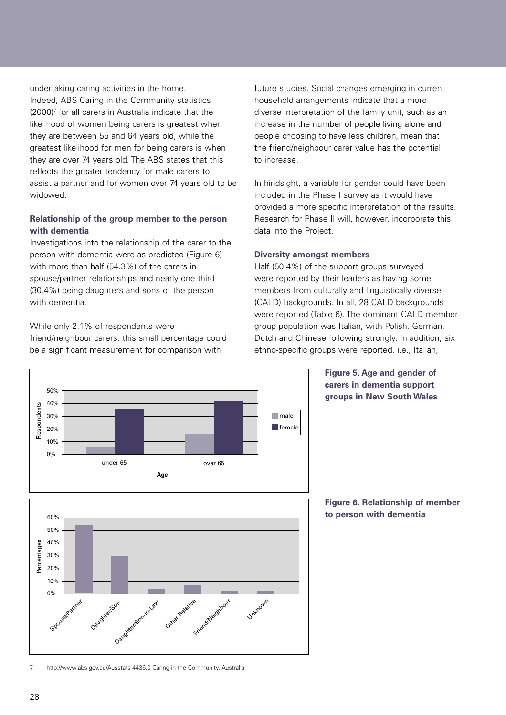undertaking caring activities in the home. Indeed, ABS Caring in the Community statistics  $(2000)^7$  for all carers in Australia indicate that the likelihood of women being carers is greatest when they are between 55 and 64 years old, while the greatest likelihood for men for being carers is when they are over 74 years old. The ABS states that this reflects the greater tendency for male carers to assist a partner and for women over 74 years old to be widowed.

#### **Relationship of the group member to the person with dementia**

Investigations into the relationship of the carer to the person with dementia were as predicted (Figure 6) with more than half (54.3%) of the carers in spouse/partner relationships and nearly one third (30.4%) being daughters and sons of the person with dementia.

While only 2.1% of respondents were friend/neighbour carers, this small percentage could be a significant measurement for comparison with

future studies. Social changes emerging in current household arrangements indicate that a more diverse interpretation of the family unit, such as an increase in the number of people living alone and people choosing to have less children, mean that the friend/neighbour carer value has the potential to increase.

In hindsight, a variable for gender could have been included in the Phase I survey as it would have provided a more specific interpretation of the results. Research for Phase II will, however, incorporate this data into the Project.

#### **Diversity amongst members**

Half (50.4%) of the support groups surveyed were reported by their leaders as having some members from culturally and linguistically diverse (CALD) backgrounds. In all, 28 CALD backgrounds were reported (Table 6). The dominant CALD member group population was Italian, with Polish, German, Dutch and Chinese following strongly. In addition, six ethno-specific groups were reported, i.e., Italian,



#### **Figure 5. Age and gender of carers in dementia support groups in New South Wales**

**Figure 6. Relationship of member to person with dementia**

7 http://www.abs.gov.au/Ausstats 4436.0 Caring in the Community, Australia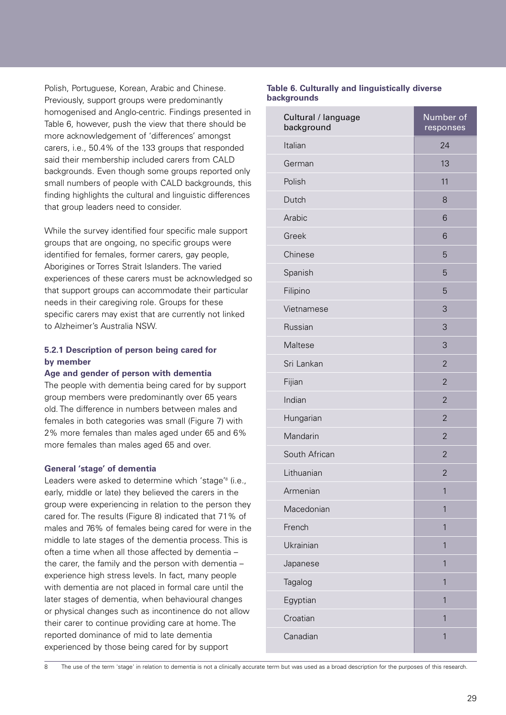Polish, Portuguese, Korean, Arabic and Chinese. Previously, support groups were predominantly homogenised and Anglo-centric. Findings presented in Table 6, however, push the view that there should be more acknowledgement of 'differences' amongst carers, i.e., 50.4% of the 133 groups that responded said their membership included carers from CALD backgrounds. Even though some groups reported only small numbers of people with CALD backgrounds, this finding highlights the cultural and linguistic differences that group leaders need to consider.

While the survey identified four specific male support groups that are ongoing, no specific groups were identified for females, former carers, gay people, Aborigines or Torres Strait Islanders. The varied experiences of these carers must be acknowledged so that support groups can accommodate their particular needs in their caregiving role. Groups for these specific carers may exist that are currently not linked to Alzheimer's Australia NSW.

#### **5.2.1 Description of person being cared for by member**

#### **Age and gender of person with dementia**

The people with dementia being cared for by support group members were predominantly over 65 years old. The difference in numbers between males and females in both categories was small (Figure 7) with 2% more females than males aged under 65 and 6% more females than males aged 65 and over.

#### **General 'stage' of dementia**

Leaders were asked to determine which 'stage'<sup>8</sup> (i.e., early, middle or late) they believed the carers in the group were experiencing in relation to the person they cared for. The results (Figure 8) indicated that 71% of males and 76% of females being cared for were in the middle to late stages of the dementia process. This is often a time when all those affected by dementia – the carer, the family and the person with dementia – experience high stress levels. In fact, many people with dementia are not placed in formal care until the later stages of dementia, when behavioural changes or physical changes such as incontinence do not allow their carer to continue providing care at home. The reported dominance of mid to late dementia experienced by those being cared for by support

#### **Table 6. Culturally and linguistically diverse backgrounds**

| Cultural / language<br>background | Number of<br>responses |
|-----------------------------------|------------------------|
| Italian                           | 24                     |
| German                            | 13                     |
| Polish                            | 11                     |
| Dutch                             | 8                      |
| Arabic                            | 6                      |
| Greek                             | 6                      |
| Chinese                           | 5                      |
| Spanish                           | 5                      |
| Filipino                          | 5                      |
| Vietnamese                        | 3                      |
| Russian                           | 3                      |
| Maltese                           | 3                      |
| Sri Lankan                        | $\overline{2}$         |
| Fijian                            | $\overline{2}$         |
| Indian                            | $\overline{2}$         |
| Hungarian                         | $\overline{2}$         |
| Mandarin                          | $\overline{2}$         |
| South African                     | $\overline{2}$         |
| Lithuanian                        | $\overline{2}$         |
| Armenian                          | 1                      |
| Macedonian                        | $\overline{1}$         |
| French                            | $\overline{1}$         |
| Ukrainian                         | 1                      |
| Japanese                          | 1                      |
| Tagalog                           | 1                      |
| Egyptian                          | $\overline{1}$         |
| Croatian                          | $\mathbf{1}$           |
| Canadian                          | $\mathbf{1}$           |
|                                   |                        |

8 The use of the term 'stage' in relation to dementia is not a clinically accurate term but was used as a broad description for the purposes of this research.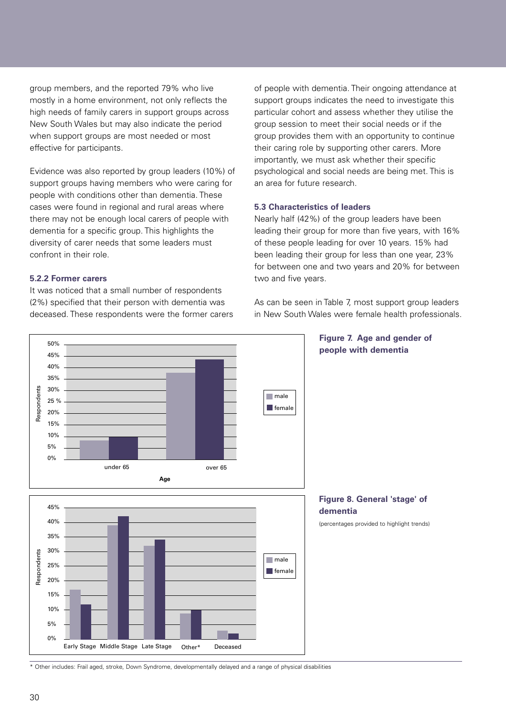group members, and the reported 79% who live mostly in a home environment, not only reflects the high needs of family carers in support groups across New South Wales but may also indicate the period when support groups are most needed or most effective for participants.

Evidence was also reported by group leaders (10%) of support groups having members who were caring for people with conditions other than dementia. These cases were found in regional and rural areas where there may not be enough local carers of people with dementia for a specific group. This highlights the diversity of carer needs that some leaders must confront in their role.

#### **5.2.2 Former carers**

It was noticed that a small number of respondents (2%) specified that their person with dementia was deceased. These respondents were the former carers of people with dementia. Their ongoing attendance at support groups indicates the need to investigate this particular cohort and assess whether they utilise the group session to meet their social needs or if the group provides them with an opportunity to continue their caring role by supporting other carers. More importantly, we must ask whether their specific psychological and social needs are being met. This is an area for future research.

#### **5.3 Characteristics of leaders**

Nearly half (42%) of the group leaders have been leading their group for more than five years, with 16% of these people leading for over 10 years. 15% had been leading their group for less than one year, 23% for between one and two years and 20% for between two and five years.

As can be seen in Table 7, most support group leaders in New South Wales were female health professionals.



\* Other includes: Frail aged, stroke, Down Syndrome, developmentally delayed and a range of physical disabilities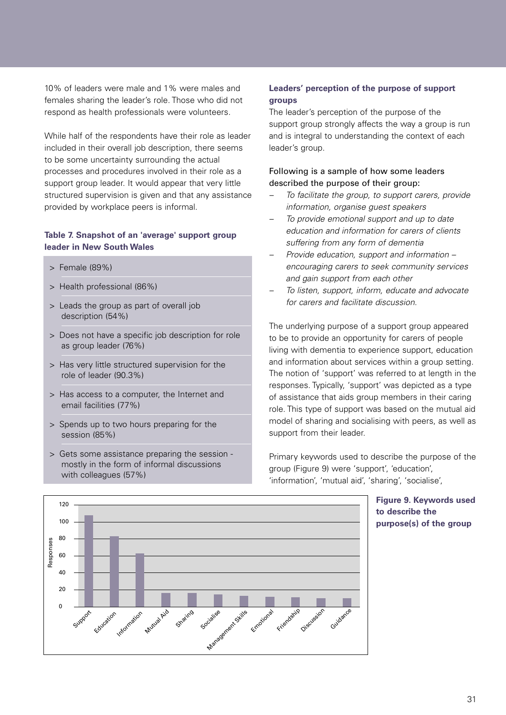10% of leaders were male and 1% were males and females sharing the leader's role. Those who did not respond as health professionals were volunteers.

While half of the respondents have their role as leader included in their overall job description, there seems to be some uncertainty surrounding the actual processes and procedures involved in their role as a support group leader. It would appear that very little structured supervision is given and that any assistance provided by workplace peers is informal.

#### **Table 7. Snapshot of an 'average' support group leader in New South Wales**

- > Female (89%)
- > Health professional (86%)
- > Leads the group as part of overall job description (54%)
- > Does not have a specific job description for role as group leader (76%)
- > Has very little structured supervision for the role of leader (90.3%)
- > Has access to a computer, the Internet and email facilities (77%)
- > Spends up to two hours preparing for the session (85%)
- > Gets some assistance preparing the session mostly in the form of informal discussions with colleagues (57%)

#### **Leaders' perception of the purpose of support groups**

The leader's perception of the purpose of the support group strongly affects the way a group is run and is integral to understanding the context of each leader's group.

#### Following is a sample of how some leaders described the purpose of their group:

- To facilitate the group, to support carers, provide information, organise guest speakers
- To provide emotional support and up to date education and information for carers of clients suffering from any form of dementia
- Provide education, support and information encouraging carers to seek community services and gain support from each other
- To listen, support, inform, educate and advocate for carers and facilitate discussion.

The underlying purpose of a support group appeared to be to provide an opportunity for carers of people living with dementia to experience support, education and information about services within a group setting. The notion of 'support' was referred to at length in the responses. Typically, 'support' was depicted as a type of assistance that aids group members in their caring role. This type of support was based on the mutual aid model of sharing and socialising with peers, as well as support from their leader.

Primary keywords used to describe the purpose of the group (Figure 9) were 'support', 'education', 'information', 'mutual aid', 'sharing', 'socialise',

120  $100$ 80 Responses Responses 60 40  $20$ Mutual Aid  $\Omega$ Friendship Information Guidance Sharing Education Emotional Discussion Support Socialise extract Skills

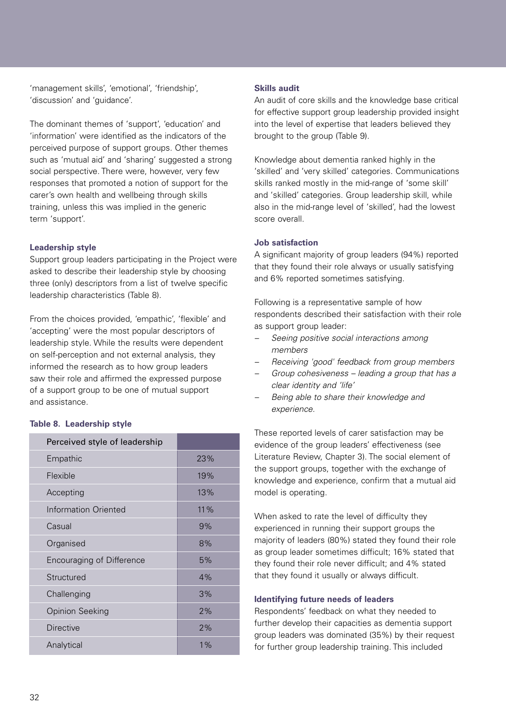'management skills', 'emotional', 'friendship', 'discussion' and 'guidance'.

The dominant themes of 'support', 'education' and 'information' were identified as the indicators of the perceived purpose of support groups. Other themes such as 'mutual aid' and 'sharing' suggested a strong social perspective. There were, however, very few responses that promoted a notion of support for the carer's own health and wellbeing through skills training, unless this was implied in the generic term 'support'.

#### **Leadership style**

Support group leaders participating in the Project were asked to describe their leadership style by choosing three (only) descriptors from a list of twelve specific leadership characteristics (Table 8).

From the choices provided, 'empathic', 'flexible' and 'accepting' were the most popular descriptors of leadership style. While the results were dependent on self-perception and not external analysis, they informed the research as to how group leaders saw their role and affirmed the expressed purpose of a support group to be one of mutual support and assistance.

#### **Table 8. Leadership style**

| Perceived style of leadership    |       |
|----------------------------------|-------|
| Empathic                         | 23%   |
| Flexible                         | 19%   |
| Accepting                        | 13%   |
| Information Oriented             | 11%   |
| Casual                           | 9%    |
| Organised                        | 8%    |
| <b>Encouraging of Difference</b> | 5%    |
| Structured                       | 4%    |
| Challenging                      | 3%    |
| <b>Opinion Seeking</b>           | 2%    |
| <b>Directive</b>                 | 2%    |
| Analytical                       | $1\%$ |

#### **Skills audit**

An audit of core skills and the knowledge base critical for effective support group leadership provided insight into the level of expertise that leaders believed they brought to the group (Table 9).

Knowledge about dementia ranked highly in the 'skilled' and 'very skilled' categories. Communications skills ranked mostly in the mid-range of 'some skill' and 'skilled' categories. Group leadership skill, while also in the mid-range level of 'skilled', had the lowest score overall.

#### **Job satisfaction**

A significant majority of group leaders (94%) reported that they found their role always or usually satisfying and 6% reported sometimes satisfying.

Following is a representative sample of how respondents described their satisfaction with their role as support group leader:

- Seeing positive social interactions among members
- Receiving 'good' feedback from group members
- Group cohesiveness leading a group that has a clear identity and 'life'
- Being able to share their knowledge and experience.

These reported levels of carer satisfaction may be evidence of the group leaders' effectiveness (see Literature Review, Chapter 3). The social element of the support groups, together with the exchange of knowledge and experience, confirm that a mutual aid model is operating.

When asked to rate the level of difficulty they experienced in running their support groups the majority of leaders (80%) stated they found their role as group leader sometimes difficult; 16% stated that they found their role never difficult; and 4% stated that they found it usually or always difficult.

#### **Identifying future needs of leaders**

Respondents' feedback on what they needed to further develop their capacities as dementia support group leaders was dominated (35%) by their request for further group leadership training. This included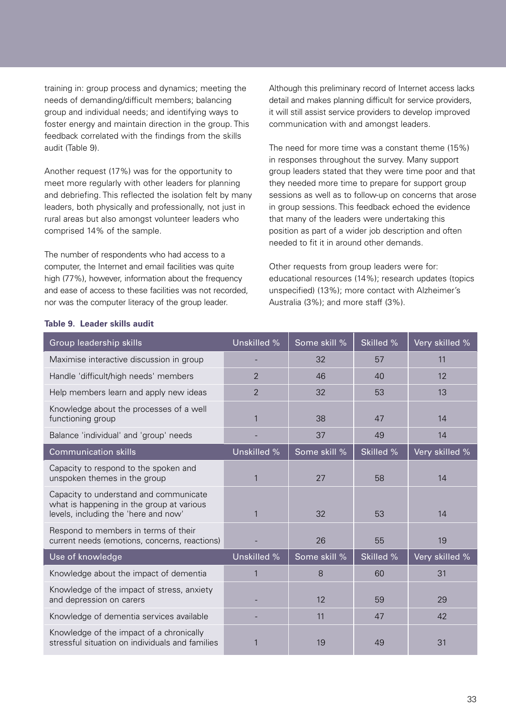training in: group process and dynamics; meeting the needs of demanding/difficult members; balancing group and individual needs; and identifying ways to foster energy and maintain direction in the group. This feedback correlated with the findings from the skills audit (Table 9).

Another request (17%) was for the opportunity to meet more regularly with other leaders for planning and debriefing. This reflected the isolation felt by many leaders, both physically and professionally, not just in rural areas but also amongst volunteer leaders who comprised 14% of the sample.

The number of respondents who had access to a computer, the Internet and email facilities was quite high (77%), however, information about the frequency and ease of access to these facilities was not recorded, nor was the computer literacy of the group leader.

Although this preliminary record of Internet access lacks detail and makes planning difficult for service providers, it will still assist service providers to develop improved communication with and amongst leaders.

The need for more time was a constant theme (15%) in responses throughout the survey. Many support group leaders stated that they were time poor and that they needed more time to prepare for support group sessions as well as to follow-up on concerns that arose in group sessions. This feedback echoed the evidence that many of the leaders were undertaking this position as part of a wider job description and often needed to fit it in around other demands.

Other requests from group leaders were for: educational resources (14%); research updates (topics unspecified) (13%); more contact with Alzheimer's Australia (3%); and more staff (3%).

| Group leadership skills                                                                                                     | Unskilled %    | Some skill % | Skilled % | Very skilled % |
|-----------------------------------------------------------------------------------------------------------------------------|----------------|--------------|-----------|----------------|
| Maximise interactive discussion in group                                                                                    |                | 32           | 57        | 11             |
| Handle 'difficult/high needs' members                                                                                       | $\overline{2}$ | 46           | 40        | 12             |
| Help members learn and apply new ideas                                                                                      | $\overline{2}$ | 32           | 53        | 13             |
| Knowledge about the processes of a well<br>functioning group                                                                | $\mathbf{1}$   | 38           | 47        | 14             |
| Balance 'individual' and 'group' needs                                                                                      |                | 37           | 49        | 14             |
| <b>Communication skills</b>                                                                                                 | Unskilled %    | Some skill % | Skilled % | Very skilled % |
| Capacity to respond to the spoken and<br>unspoken themes in the group                                                       | $\mathbf{1}$   | 27           | 58        | 14             |
| Capacity to understand and communicate<br>what is happening in the group at various<br>levels, including the 'here and now' | $\mathbf{1}$   | 32           | 53        | 14             |
| Respond to members in terms of their<br>current needs (emotions, concerns, reactions)                                       |                | 26           | 55        | 19             |
| Use of knowledge                                                                                                            | Unskilled %    | Some skill % | Skilled % | Very skilled % |
| Knowledge about the impact of dementia                                                                                      | $\mathbf{1}$   | 8            | 60        | 31             |
| Knowledge of the impact of stress, anxiety<br>and depression on carers                                                      |                | 12           | 59        | 29             |
| Knowledge of dementia services available                                                                                    |                | 11           | 47        | 42             |
| Knowledge of the impact of a chronically<br>stressful situation on individuals and families                                 | 1              | 19           | 49        | 31             |

#### **Table 9. Leader skills audit**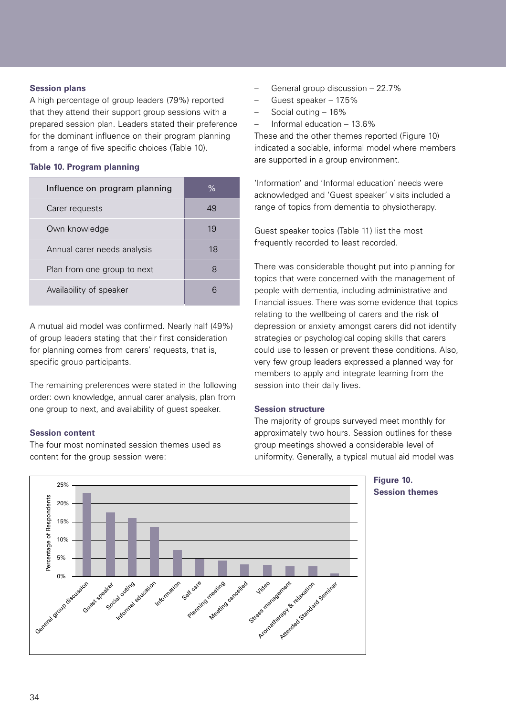#### **Session plans**

A high percentage of group leaders (79%) reported that they attend their support group sessions with a prepared session plan. Leaders stated their preference for the dominant influence on their program planning from a range of five specific choices (Table 10).

#### **Table 10. Program planning**

| Influence on program planning | $\%$ |
|-------------------------------|------|
| Carer requests                | 49   |
| Own knowledge                 | 19   |
| Annual carer needs analysis   | 18   |
| Plan from one group to next   |      |
| Availability of speaker       |      |

A mutual aid model was confirmed. Nearly half (49%) of group leaders stating that their first consideration for planning comes from carers' requests, that is, specific group participants.

The remaining preferences were stated in the following order: own knowledge, annual carer analysis, plan from one group to next, and availability of guest speaker.

#### **Session content**

The four most nominated session themes used as content for the group session were:

- General group discussion 22.7%
- Guest speaker 17.5%
- Social outing 16%
- Informal education 13.6%

These and the other themes reported (Figure 10) indicated a sociable, informal model where members are supported in a group environment.

'Information' and 'Informal education' needs were acknowledged and 'Guest speaker' visits included a range of topics from dementia to physiotherapy.

Guest speaker topics (Table 11) list the most frequently recorded to least recorded.

There was considerable thought put into planning for topics that were concerned with the management of people with dementia, including administrative and financial issues. There was some evidence that topics relating to the wellbeing of carers and the risk of depression or anxiety amongst carers did not identify strategies or psychological coping skills that carers could use to lessen or prevent these conditions. Also, very few group leaders expressed a planned way for members to apply and integrate learning from the session into their daily lives.

#### **Session structure**

The majority of groups surveyed meet monthly for approximately two hours. Session outlines for these group meetings showed a considerable level of uniformity. Generally, a typical mutual aid model was



**Figure 10. Session themes**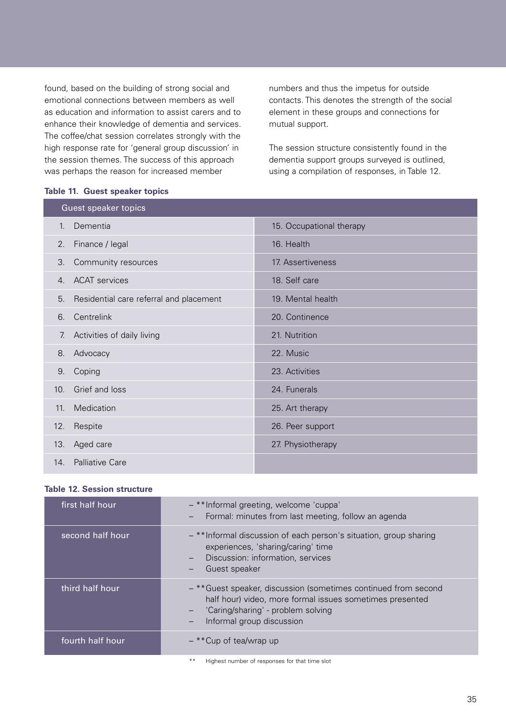found, based on the building of strong social and emotional connections between members as well as education and information to assist carers and to enhance their knowledge of dementia and services. The coffee/chat session correlates strongly with the high response rate for 'general group discussion' in the session themes. The success of this approach was perhaps the reason for increased member

numbers and thus the impetus for outside contacts. This denotes the strength of the social element in these groups and connections for mutual support.

The session structure consistently found in the dementia support groups surveyed is outlined, using a compilation of responses, in Table 12.

|                | DIO III GAODI OPOAROI IOPIOO            |                          |  |  |  |
|----------------|-----------------------------------------|--------------------------|--|--|--|
|                | <b>Guest speaker topics</b>             |                          |  |  |  |
| $\mathbf{1}$ . | Dementia                                | 15. Occupational therapy |  |  |  |
| 2.             | Finance / legal                         | 16. Health               |  |  |  |
| 3.             | Community resources                     | 17. Assertiveness        |  |  |  |
| 4.             | <b>ACAT</b> services                    | 18. Self care            |  |  |  |
| 5.             | Residential care referral and placement | 19. Mental health        |  |  |  |
| 6.             | Centrelink                              | 20. Continence           |  |  |  |
| 7.             | Activities of daily living              | 21. Nutrition            |  |  |  |
| 8.             | Advocacy                                | 22. Music                |  |  |  |
| 9.             | Coping                                  | 23. Activities           |  |  |  |
| 10.            | Grief and loss                          | 24. Funerals             |  |  |  |
| 11.            | Medication                              | 25. Art therapy          |  |  |  |
| 12.            | Respite                                 | 26. Peer support         |  |  |  |
| 13.            | Aged care                               | 27. Physiotherapy        |  |  |  |
| 14.            | <b>Palliative Care</b>                  |                          |  |  |  |

#### **Table 11. Guest speaker topics**

#### **Table 12. Session structure**

| first half hour  | - **Informal greeting, welcome 'cuppa'<br>Formal: minutes from last meeting, follow an agenda<br>$\qquad \qquad -$                                                                             |
|------------------|------------------------------------------------------------------------------------------------------------------------------------------------------------------------------------------------|
| second half hour | - **Informal discussion of each person's situation, group sharing<br>experiences, 'sharing/caring' time<br>Discussion: information, services<br>$\qquad \qquad -$<br>Guest speaker<br>—        |
| third half hour  | - ** Guest speaker, discussion (sometimes continued from second<br>half hour) video, more formal issues sometimes presented<br>'Caring/sharing' - problem solving<br>Informal group discussion |
| fourth half hour | - **Cup of tea/wrap up                                                                                                                                                                         |
|                  | Highest number of responses for that time slot                                                                                                                                                 |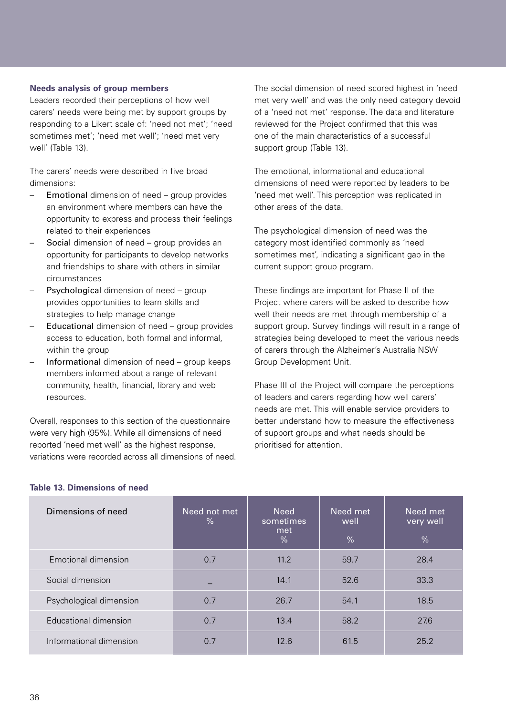#### **Needs analysis of group members**

Leaders recorded their perceptions of how well carers' needs were being met by support groups by responding to a Likert scale of: 'need not met'; 'need sometimes met'; 'need met well'; 'need met very well' (Table 13).

The carers' needs were described in five broad dimensions:

- Emotional dimension of need group provides an environment where members can have the opportunity to express and process their feelings related to their experiences
- Social dimension of need group provides an opportunity for participants to develop networks and friendships to share with others in similar circumstances
- Psychological dimension of need group provides opportunities to learn skills and strategies to help manage change
- Educational dimension of need group provides access to education, both formal and informal, within the group
- Informational dimension of need group keeps members informed about a range of relevant community, health, financial, library and web resources.

Overall, responses to this section of the questionnaire were very high (95%). While all dimensions of need reported 'need met well' as the highest response, variations were recorded across all dimensions of need. The social dimension of need scored highest in 'need met very well' and was the only need category devoid of a 'need not met' response. The data and literature reviewed for the Project confirmed that this was one of the main characteristics of a successful support group (Table 13).

The emotional, informational and educational dimensions of need were reported by leaders to be 'need met well'. This perception was replicated in other areas of the data.

The psychological dimension of need was the category most identified commonly as 'need sometimes met', indicating a significant gap in the current support group program.

These findings are important for Phase II of the Project where carers will be asked to describe how well their needs are met through membership of a support group. Survey findings will result in a range of strategies being developed to meet the various needs of carers through the Alzheimer's Australia NSW Group Development Unit.

Phase III of the Project will compare the perceptions of leaders and carers regarding how well carers' needs are met. This will enable service providers to better understand how to measure the effectiveness of support groups and what needs should be prioritised for attention.

| Dimensions of need      | Need not met<br>$\%$ | <b>Need</b><br>sometimes<br>met<br>$\%$ | Need met<br>well<br>$\frac{0}{0}$ | Need met<br>very well<br>$\frac{9}{6}$ |
|-------------------------|----------------------|-----------------------------------------|-----------------------------------|----------------------------------------|
| Emotional dimension     | 0.7                  | 11.2                                    | 59.7                              | 28.4                                   |
| Social dimension        |                      | 14.1                                    | 52.6                              | 33.3                                   |
| Psychological dimension | 0.7                  | 26.7                                    | 54.1                              | 18.5                                   |
| Educational dimension   | 0.7                  | 13.4                                    | 58.2                              | 27.6                                   |
| Informational dimension | 0.7                  | 12.6                                    | 61.5                              | 25.2                                   |

#### **Table 13. Dimensions of need**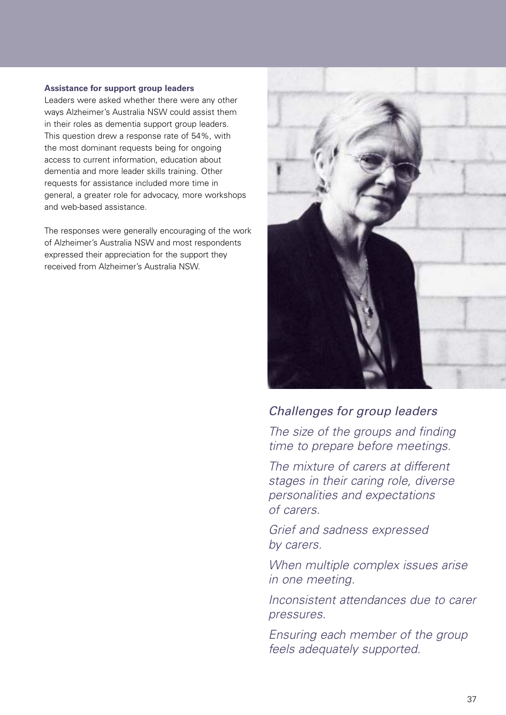#### **Assistance for support group leaders**

Leaders were asked whether there were any other ways Alzheimer's Australia NSW could assist them in their roles as dementia support group leaders. This question drew a response rate of 54%, with the most dominant requests being for ongoing access to current information, education about dementia and more leader skills training. Other requests for assistance included more time in general, a greater role for advocacy, more workshops and web-based assistance.

The responses were generally encouraging of the work of Alzheimer's Australia NSW and most respondents expressed their appreciation for the support they received from Alzheimer's Australia NSW.



### Challenges for group leaders

The size of the groups and finding time to prepare before meetings.

The mixture of carers at different stages in their caring role, diverse personalities and expectations of carers.

Grief and sadness expressed by carers.

When multiple complex issues arise in one meeting.

Inconsistent attendances due to carer pressures.

Ensuring each member of the group feels adequately supported.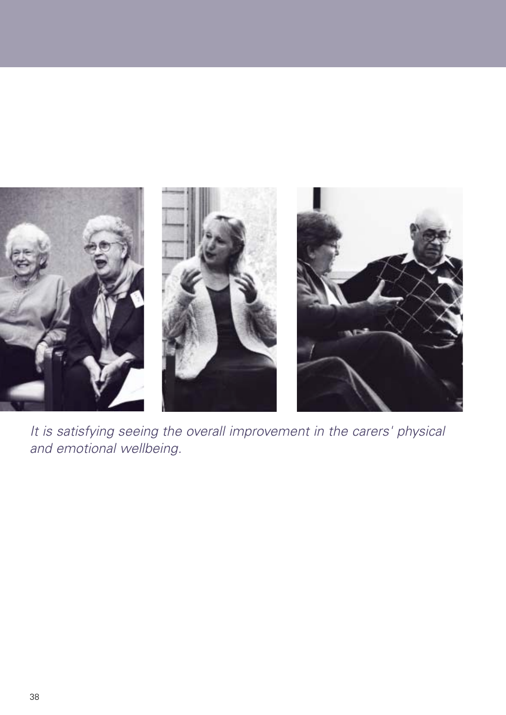

It is satisfying seeing the overall improvement in the carers' physical and emotional wellbeing.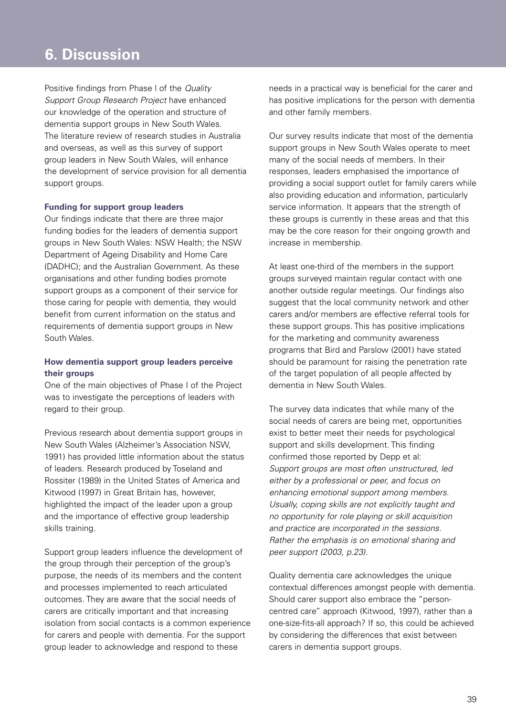### **1. Background to the Project 6. Discussion**

Positive findings from Phase I of the Quality Support Group Research Project have enhanced our knowledge of the operation and structure of dementia support groups in New South Wales. The literature review of research studies in Australia and overseas, as well as this survey of support group leaders in New South Wales, will enhance the development of service provision for all dementia support groups.

#### **Funding for support group leaders**

Our findings indicate that there are three major funding bodies for the leaders of dementia support groups in New South Wales: NSW Health; the NSW Department of Ageing Disability and Home Care (DADHC); and the Australian Government. As these organisations and other funding bodies promote support groups as a component of their service for those caring for people with dementia, they would benefit from current information on the status and requirements of dementia support groups in New South Wales.

#### **How dementia support group leaders perceive their groups**

One of the main objectives of Phase I of the Project was to investigate the perceptions of leaders with regard to their group.

Previous research about dementia support groups in New South Wales (Alzheimer's Association NSW, 1991) has provided little information about the status of leaders. Research produced by Toseland and Rossiter (1989) in the United States of America and Kitwood (1997) in Great Britain has, however, highlighted the impact of the leader upon a group and the importance of effective group leadership skills training.

Support group leaders influence the development of the group through their perception of the group's purpose, the needs of its members and the content and processes implemented to reach articulated outcomes. They are aware that the social needs of carers are critically important and that increasing isolation from social contacts is a common experience for carers and people with dementia. For the support group leader to acknowledge and respond to these

needs in a practical way is beneficial for the carer and has positive implications for the person with dementia and other family members.

Our survey results indicate that most of the dementia support groups in New South Wales operate to meet many of the social needs of members. In their responses, leaders emphasised the importance of providing a social support outlet for family carers while also providing education and information, particularly service information. It appears that the strength of these groups is currently in these areas and that this may be the core reason for their ongoing growth and increase in membership.

At least one-third of the members in the support groups surveyed maintain regular contact with one another outside regular meetings. Our findings also suggest that the local community network and other carers and/or members are effective referral tools for these support groups. This has positive implications for the marketing and community awareness programs that Bird and Parslow (2001) have stated should be paramount for raising the penetration rate of the target population of all people affected by dementia in New South Wales.

The survey data indicates that while many of the social needs of carers are being met, opportunities exist to better meet their needs for psychological support and skills development. This finding confirmed those reported by Depp et al: Support groups are most often unstructured, led either by a professional or peer, and focus on enhancing emotional support among members. Usually, coping skills are not explicitly taught and no opportunity for role playing or skill acquisition and practice are incorporated in the sessions. Rather the emphasis is on emotional sharing and peer support (2003, p.23).

Quality dementia care acknowledges the unique contextual differences amongst people with dementia. Should carer support also embrace the "personcentred care" approach (Kitwood, 1997), rather than a one-size-fits-all approach? If so, this could be achieved by considering the differences that exist between carers in dementia support groups.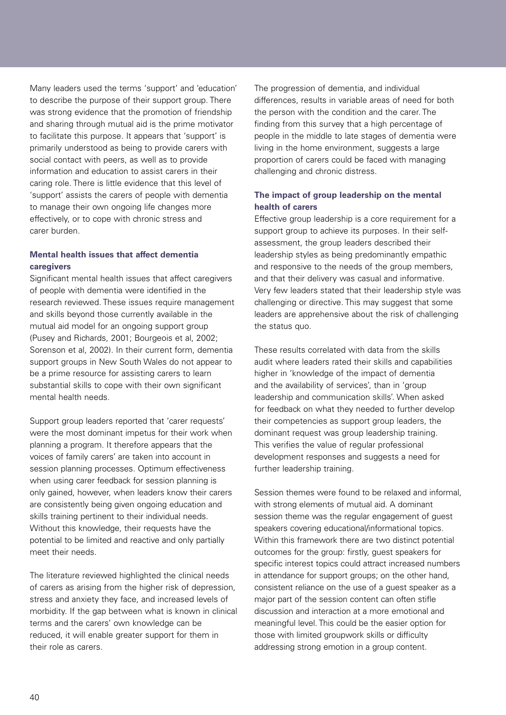Many leaders used the terms 'support' and 'education' to describe the purpose of their support group. There was strong evidence that the promotion of friendship and sharing through mutual aid is the prime motivator to facilitate this purpose. It appears that 'support' is primarily understood as being to provide carers with social contact with peers, as well as to provide information and education to assist carers in their caring role. There is little evidence that this level of 'support' assists the carers of people with dementia to manage their own ongoing life changes more effectively, or to cope with chronic stress and carer burden.

#### **Mental health issues that affect dementia caregivers**

Significant mental health issues that affect caregivers of people with dementia were identified in the research reviewed. These issues require management and skills beyond those currently available in the mutual aid model for an ongoing support group (Pusey and Richards, 2001; Bourgeois et al, 2002; Sorenson et al, 2002). In their current form, dementia support groups in New South Wales do not appear to be a prime resource for assisting carers to learn substantial skills to cope with their own significant mental health needs.

Support group leaders reported that 'carer requests' were the most dominant impetus for their work when planning a program. It therefore appears that the voices of family carers' are taken into account in session planning processes. Optimum effectiveness when using carer feedback for session planning is only gained, however, when leaders know their carers are consistently being given ongoing education and skills training pertinent to their individual needs. Without this knowledge, their requests have the potential to be limited and reactive and only partially meet their needs.

The literature reviewed highlighted the clinical needs of carers as arising from the higher risk of depression, stress and anxiety they face, and increased levels of morbidity. If the gap between what is known in clinical terms and the carers' own knowledge can be reduced, it will enable greater support for them in their role as carers.

The progression of dementia, and individual differences, results in variable areas of need for both the person with the condition and the carer. The finding from this survey that a high percentage of people in the middle to late stages of dementia were living in the home environment, suggests a large proportion of carers could be faced with managing challenging and chronic distress.

#### **The impact of group leadership on the mental health of carers**

Effective group leadership is a core requirement for a support group to achieve its purposes. In their selfassessment, the group leaders described their leadership styles as being predominantly empathic and responsive to the needs of the group members, and that their delivery was casual and informative. Very few leaders stated that their leadership style was challenging or directive. This may suggest that some leaders are apprehensive about the risk of challenging the status quo.

These results correlated with data from the skills audit where leaders rated their skills and capabilities higher in 'knowledge of the impact of dementia and the availability of services', than in 'group leadership and communication skills'. When asked for feedback on what they needed to further develop their competencies as support group leaders, the dominant request was group leadership training. This verifies the value of regular professional development responses and suggests a need for further leadership training.

Session themes were found to be relaxed and informal, with strong elements of mutual aid. A dominant session theme was the regular engagement of quest speakers covering educational/informational topics. Within this framework there are two distinct potential outcomes for the group: firstly, guest speakers for specific interest topics could attract increased numbers in attendance for support groups; on the other hand, consistent reliance on the use of a guest speaker as a major part of the session content can often stifle discussion and interaction at a more emotional and meaningful level. This could be the easier option for those with limited groupwork skills or difficulty addressing strong emotion in a group content.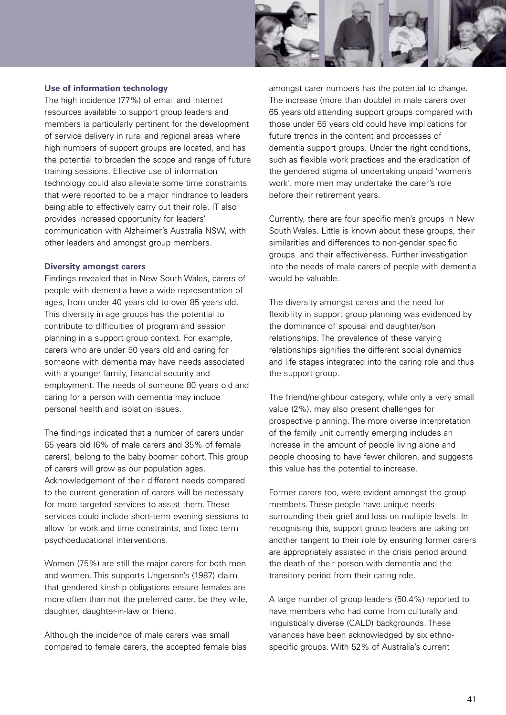

#### **Use of information technology**

The high incidence (77%) of email and Internet resources available to support group leaders and members is particularly pertinent for the development of service delivery in rural and regional areas where high numbers of support groups are located, and has the potential to broaden the scope and range of future training sessions. Effective use of information technology could also alleviate some time constraints that were reported to be a major hindrance to leaders being able to effectively carry out their role. IT also provides increased opportunity for leaders' communication with Alzheimer's Australia NSW, with other leaders and amongst group members.

#### **Diversity amongst carers**

Findings revealed that in New South Wales, carers of people with dementia have a wide representation of ages, from under 40 years old to over 85 years old. This diversity in age groups has the potential to contribute to difficulties of program and session planning in a support group context. For example, carers who are under 50 years old and caring for someone with dementia may have needs associated with a younger family, financial security and employment. The needs of someone 80 years old and caring for a person with dementia may include personal health and isolation issues.

The findings indicated that a number of carers under 65 years old (6% of male carers and 35% of female carers), belong to the baby boomer cohort. This group of carers will grow as our population ages. Acknowledgement of their different needs compared to the current generation of carers will be necessary for more targeted services to assist them. These services could include short-term evening sessions to allow for work and time constraints, and fixed term psychoeducational interventions.

Women (75%) are still the major carers for both men and women. This supports Ungerson's (1987) claim that gendered kinship obligations ensure females are more often than not the preferred carer, be they wife, daughter, daughter-in-law or friend.

Although the incidence of male carers was small compared to female carers, the accepted female bias amongst carer numbers has the potential to change. The increase (more than double) in male carers over 65 years old attending support groups compared with those under 65 years old could have implications for future trends in the content and processes of dementia support groups. Under the right conditions, such as flexible work practices and the eradication of the gendered stigma of undertaking unpaid 'women's work', more men may undertake the carer's role before their retirement years.

Currently, there are four specific men's groups in New South Wales. Little is known about these groups, their similarities and differences to non-gender specific groups and their effectiveness. Further investigation into the needs of male carers of people with dementia would be valuable.

The diversity amongst carers and the need for flexibility in support group planning was evidenced by the dominance of spousal and daughter/son relationships. The prevalence of these varying relationships signifies the different social dynamics and life stages integrated into the caring role and thus the support group.

The friend/neighbour category, while only a very small value (2%), may also present challenges for prospective planning. The more diverse interpretation of the family unit currently emerging includes an increase in the amount of people living alone and people choosing to have fewer children, and suggests this value has the potential to increase.

Former carers too, were evident amongst the group members. These people have unique needs surrounding their grief and loss on multiple levels. In recognising this, support group leaders are taking on another tangent to their role by ensuring former carers are appropriately assisted in the crisis period around the death of their person with dementia and the transitory period from their caring role.

A large number of group leaders (50.4%) reported to have members who had come from culturally and linguistically diverse (CALD) backgrounds. These variances have been acknowledged by six ethnospecific groups. With 52% of Australia's current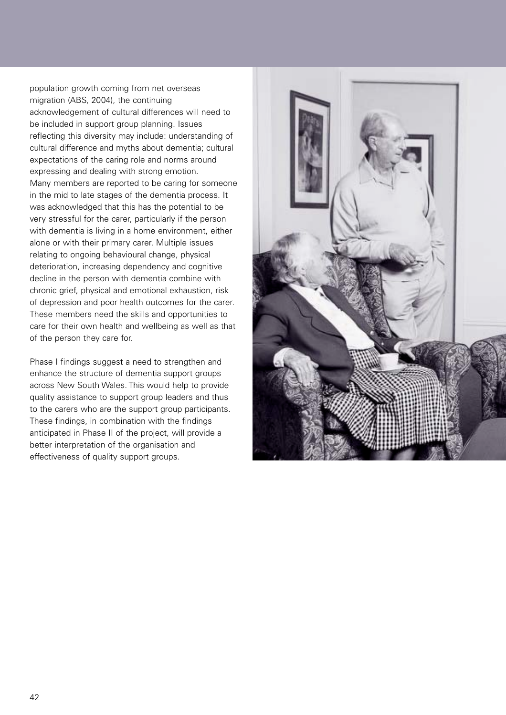population growth coming from net overseas migration (ABS, 2004), the continuing acknowledgement of cultural differences will need to be included in support group planning. Issues reflecting this diversity may include: understanding of cultural difference and myths about dementia; cultural expectations of the caring role and norms around expressing and dealing with strong emotion. Many members are reported to be caring for someone in the mid to late stages of the dementia process. It was acknowledged that this has the potential to be very stressful for the carer, particularly if the person with dementia is living in a home environment, either alone or with their primary carer. Multiple issues relating to ongoing behavioural change, physical deterioration, increasing dependency and cognitive decline in the person with dementia combine with chronic grief, physical and emotional exhaustion, risk of depression and poor health outcomes for the carer. These members need the skills and opportunities to care for their own health and wellbeing as well as that of the person they care for.

Phase I findings suggest a need to strengthen and enhance the structure of dementia support groups across New South Wales. This would help to provide quality assistance to support group leaders and thus to the carers who are the support group participants. These findings, in combination with the findings anticipated in Phase II of the project, will provide a better interpretation of the organisation and effectiveness of quality support groups.

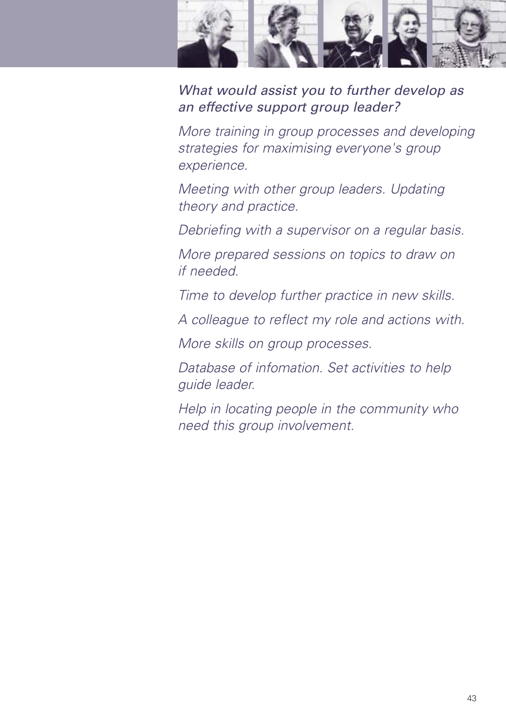

What would assist you to further develop as an effective support group leader?

More training in group processes and developing strategies for maximising everyone's group experience.

Meeting with other group leaders. Updating theory and practice.

Debriefing with a supervisor on a regular basis.

More prepared sessions on topics to draw on if needed.

Time to develop further practice in new skills.

A colleague to reflect my role and actions with.

More skills on group processes.

Database of infomation. Set activities to help guide leader.

Help in locating people in the community who need this group involvement.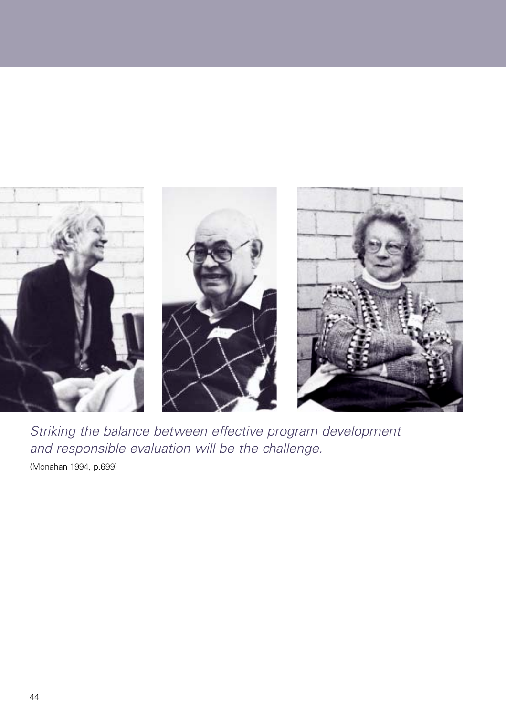

Striking the balance between effective program development and responsible evaluation will be the challenge.

(Monahan 1994, p.699)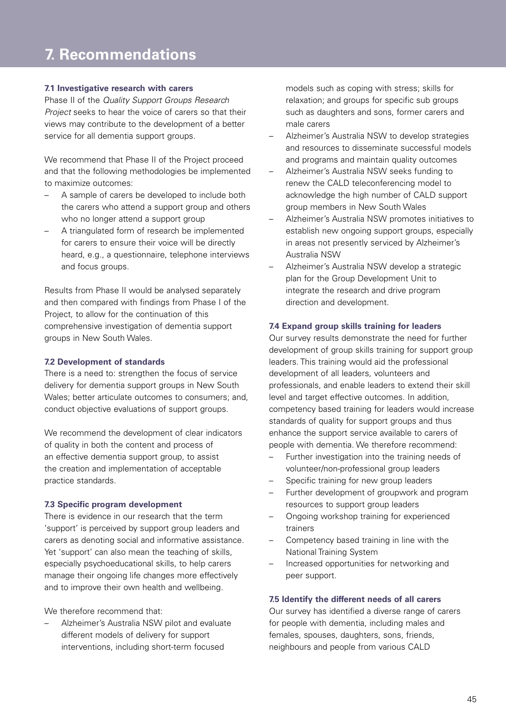### **1. Background to the Project 7. Recommendations**

#### **7.1 Investigative research with carers**

Phase II of the Quality Support Groups Research Project seeks to hear the voice of carers so that their views may contribute to the development of a better service for all dementia support groups.

We recommend that Phase II of the Project proceed and that the following methodologies be implemented to maximize outcomes:

- A sample of carers be developed to include both the carers who attend a support group and others who no longer attend a support group
- A triangulated form of research be implemented for carers to ensure their voice will be directly heard, e.g., a questionnaire, telephone interviews and focus groups.

Results from Phase II would be analysed separately and then compared with findings from Phase I of the Project, to allow for the continuation of this comprehensive investigation of dementia support groups in New South Wales.

#### **7.2 Development of standards**

There is a need to: strengthen the focus of service delivery for dementia support groups in New South Wales; better articulate outcomes to consumers; and, conduct objective evaluations of support groups.

We recommend the development of clear indicators of quality in both the content and process of an effective dementia support group, to assist the creation and implementation of acceptable practice standards.

#### **7.3 Specific program development**

There is evidence in our research that the term 'support' is perceived by support group leaders and carers as denoting social and informative assistance. Yet 'support' can also mean the teaching of skills, especially psychoeducational skills, to help carers manage their ongoing life changes more effectively and to improve their own health and wellbeing.

We therefore recommend that:

– Alzheimer's Australia NSW pilot and evaluate different models of delivery for support interventions, including short-term focused

models such as coping with stress; skills for relaxation; and groups for specific sub groups such as daughters and sons, former carers and male carers

- Alzheimer's Australia NSW to develop strategies and resources to disseminate successful models and programs and maintain quality outcomes
- Alzheimer's Australia NSW seeks funding to renew the CALD teleconferencing model to acknowledge the high number of CALD support group members in New South Wales
- Alzheimer's Australia NSW promotes initiatives to establish new ongoing support groups, especially in areas not presently serviced by Alzheimer's Australia NSW
- Alzheimer's Australia NSW develop a strategic plan for the Group Development Unit to integrate the research and drive program direction and development.

#### **7.4 Expand group skills training for leaders**

Our survey results demonstrate the need for further development of group skills training for support group leaders. This training would aid the professional development of all leaders, volunteers and professionals, and enable leaders to extend their skill level and target effective outcomes. In addition, competency based training for leaders would increase standards of quality for support groups and thus enhance the support service available to carers of people with dementia. We therefore recommend:

- Further investigation into the training needs of volunteer/non-professional group leaders
- Specific training for new group leaders
- Further development of groupwork and program resources to support group leaders
- Ongoing workshop training for experienced trainers
- Competency based training in line with the National Training System
- Increased opportunities for networking and peer support.

#### **7.5 Identify the different needs of all carers**

Our survey has identified a diverse range of carers for people with dementia, including males and females, spouses, daughters, sons, friends, neighbours and people from various CALD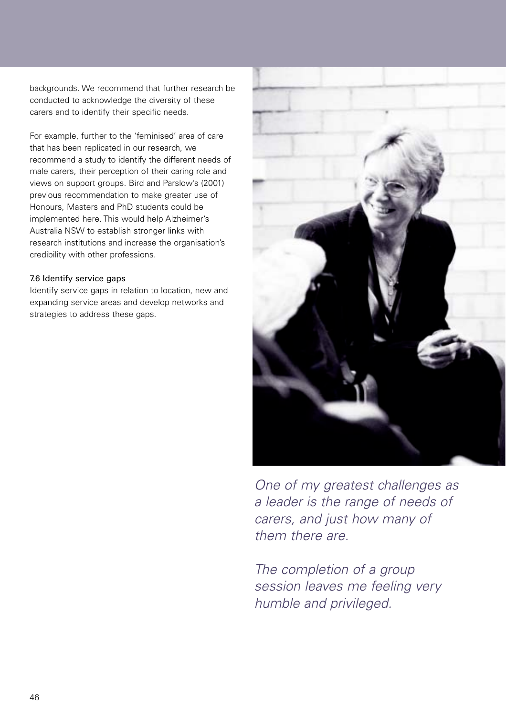backgrounds. We recommend that further research be conducted to acknowledge the diversity of these carers and to identify their specific needs.

For example, further to the 'feminised' area of care that has been replicated in our research, we recommend a study to identify the different needs of male carers, their perception of their caring role and views on support groups. Bird and Parslow's (2001) previous recommendation to make greater use of Honours, Masters and PhD students could be implemented here. This would help Alzheimer's Australia NSW to establish stronger links with research institutions and increase the organisation's credibility with other professions.

#### 7.6 Identify service gaps

Identify service gaps in relation to location, new and expanding service areas and develop networks and strategies to address these gaps.



One of my greatest challenges as a leader is the range of needs of carers, and just how many of them there are.

The completion of a group session leaves me feeling very humble and privileged.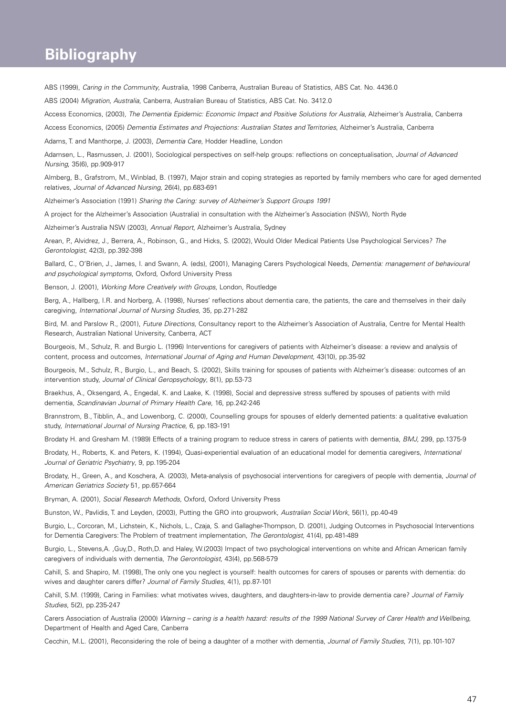### **1. Background to the Project Bibliography**

ABS (1999), Caring in the Community, Australia, 1998 Canberra, Australian Bureau of Statistics, ABS Cat. No. 4436.0

ABS (2004) Migration, Australia, Canberra, Australian Bureau of Statistics, ABS Cat. No. 3412.0

Access Economics, (2003), The Dementia Epidemic: Economic Impact and Positive Solutions for Australia, Alzheimer's Australia, Canberra

Access Economics, (2005) Dementia Estimates and Projections: Australian States and Territories, Alzheimer's Australia, Canberra

Adams, T. and Manthorpe, J. (2003), *Dementia Care*, Hodder Headline, London

Adamsen, L., Rasmussen, J. (2001), Sociological perspectives on self-help groups: reflections on conceptualisation, Journal of Advanced Nursing, 35(6), pp.909-917

Almberg, B., Grafstrom, M., Winblad, B. (1997), Major strain and coping strategies as reported by family members who care for aged demented relatives, Journal of Advanced Nursing, 26(4), pp.683-691

Alzheimer's Association (1991) Sharing the Caring: survey of Alzheimer's Support Groups 1991

A project for the Alzheimer's Association (Australia) in consultation with the Alzheimer's Association (NSW), North Ryde

Alzheimer's Australia NSW (2003), Annual Report, Alzheimer's Australia, Sydney

Arean, P., Alvidrez, J., Berrera, A., Robinson, G., and Hicks, S. (2002), Would Older Medical Patients Use Psychological Services? The Gerontologist, 42(3), pp.392-398

Ballard, C., O'Brien, J., James, I. and Swann, A. (eds), (2001), Managing Carers Psychological Needs, Dementia: management of behavioural and psychological symptoms, Oxford, Oxford University Press

Benson, J. (2001), Working More Creatively with Groups, London, Routledge

Berg, A., Hallberg, I.R. and Norberg, A. (1998), Nurses' reflections about dementia care, the patients, the care and themselves in their daily caregiving, International Journal of Nursing Studies, 35, pp.271-282

Bird, M. and Parslow R., (2001), Future Directions, Consultancy report to the Alzheimer's Association of Australia, Centre for Mental Health Research, Australian National University, Canberra, ACT

Bourgeois, M., Schulz, R. and Burgio L. (1996) Interventions for caregivers of patients with Alzheimer's disease: a review and analysis of content, process and outcomes, International Journal of Aging and Human Development, 43(10), pp.35-92

Bourgeois, M., Schulz, R., Burgio, L., and Beach, S. (2002), Skills training for spouses of patients with Alzheimer's disease: outcomes of an intervention study, Journal of Clinical Geropsychology, 8(1), pp.53-73

Braekhus, A., Oksengard, A., Engedal, K. and Laake, K. (1998), Social and depressive stress suffered by spouses of patients with mild dementia, Scandinavian Journal of Primary Health Care, 16, pp.242-246

Brannstrom, B., Tibblin, A., and Lowenborg, C. (2000), Counselling groups for spouses of elderly demented patients: a qualitative evaluation study, International Journal of Nursing Practice, 6, pp.183-191

Brodaty H. and Gresham M. (1989) Effects of a training program to reduce stress in carers of patients with dementia, BMJ, 299, pp.1375-9

Brodaty, H., Roberts, K. and Peters, K. (1994), Quasi-experiential evaluation of an educational model for dementia caregivers, International Journal of Geriatric Psychiatry, 9, pp.195-204

Brodaty, H., Green, A., and Koschera, A. (2003), Meta-analysis of psychosocial interventions for caregivers of people with dementia, Journal of American Geriatrics Society 51, pp.657-664

Bryman, A. (2001), Social Research Methods, Oxford, Oxford University Press

Bunston, W., Pavlidis, T. and Leyden, (2003), Putting the GRO into groupwork, Australian Social Work, 56(1), pp.40-49

Burgio, L., Corcoran, M., Lichstein, K., Nichols, L., Czaja, S. and Gallagher-Thompson, D. (2001), Judging Outcomes in Psychosocial Interventions for Dementia Caregivers: The Problem of treatment implementation, The Gerontologist, 41(4), pp.481-489

Burgio, L., Stevens,A. ,Guy,D., Roth,D. and Haley, W.(2003) Impact of two psychological interventions on white and African American family caregivers of individuals with dementia, The Gerontologist, 43(4), pp.568-579

Cahill, S. and Shapiro, M. (1998), The only one you neglect is yourself: health outcomes for carers of spouses or parents with dementia: do wives and daughter carers differ? Journal of Family Studies, 4(1), pp.87-101

Cahill, S.M. (1999), Caring in Families: what motivates wives, daughters, and daughters-in-law to provide dementia care? Journal of Family Studies, 5(2), pp.235-247

Carers Association of Australia (2000) Warning – caring is a health hazard: results of the 1999 National Survey of Carer Health and Wellbeing, Department of Health and Aged Care, Canberra

Cecchin, M.L. (2001), Reconsidering the role of being a daughter of a mother with dementia, Journal of Family Studies, 7(1), pp.101-107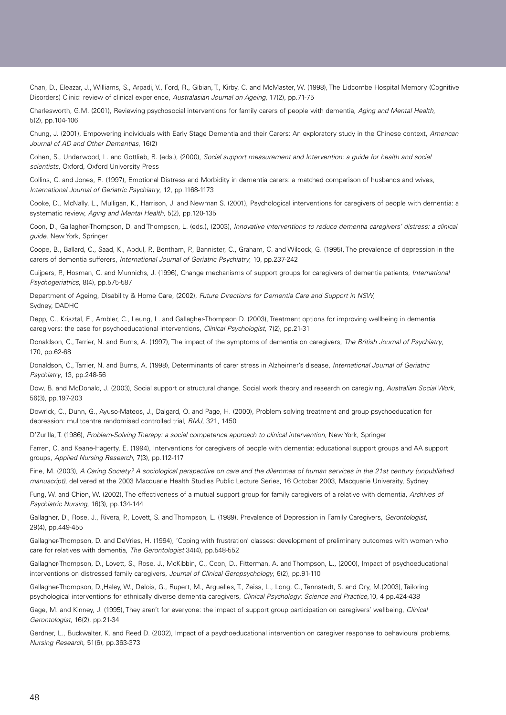Chan, D., Eleazar, J., Williams, S., Arpadi, V., Ford, R., Gibian, T., Kirby, C. and McMaster, W. (1998), The Lidcombe Hospital Memory (Cognitive Disorders) Clinic: review of clinical experience, Australasian Journal on Ageing, 17(2), pp.71-75

Charlesworth, G.M. (2001), Reviewing psychosocial interventions for family carers of people with dementia, Aging and Mental Health, 5(2), pp.104-106

Chung, J. (2001), Empowering individuals with Early Stage Dementia and their Carers: An exploratory study in the Chinese context, American Journal of AD and Other Dementias, 16(2)

Cohen, S., Underwood, L. and Gottlieb, B. (eds.), (2000), Social support measurement and Intervention: a guide for health and social scientists, Oxford, Oxford University Press

Collins, C. and Jones, R. (1997), Emotional Distress and Morbidity in dementia carers: a matched comparison of husbands and wives, International Journal of Geriatric Psychiatry, 12, pp.1168-1173

Cooke, D., McNally, L., Mulligan, K., Harrison, J. and Newman S. (2001), Psychological interventions for caregivers of people with dementia: a systematic review, Aging and Mental Health, 5(2), pp.120-135

Coon, D., Gallagher-Thompson, D. and Thompson, L. (eds.), (2003), Innovative interventions to reduce dementia caregivers' distress: a clinical guide, New York, Springer

Coope, B., Ballard, C., Saad, K., Abdul, P., Bentham, P., Bannister, C., Graham, C. and Wilcock, G. (1995), The prevalence of depression in the carers of dementia sufferers, International Journal of Geriatric Psychiatry, 10, pp.237-242

Cuijpers, P., Hosman, C. and Munnichs, J. (1996), Change mechanisms of support groups for caregivers of dementia patients, International Psychogeriatrics, 8(4), pp.575-587

Department of Ageing, Disability & Home Care, (2002), Future Directions for Dementia Care and Support in NSW, Sydney, DADHC

Depp, C., Krisztal, E., Ambler, C., Leung, L. and Gallagher-Thompson D. (2003), Treatment options for improving wellbeing in dementia caregivers: the case for psychoeducational interventions, Clinical Psychologist, 7(2), pp.21-31

Donaldson, C., Tarrier, N. and Burns, A. (1997), The impact of the symptoms of dementia on caregivers, The British Journal of Psychiatry, 170, pp.62-68

Donaldson, C., Tarrier, N. and Burns, A. (1998), Determinants of carer stress in Alzheimer's disease, International Journal of Geriatric Psychiatry, 13, pp.248-56

Dow, B. and McDonald, J. (2003), Social support or structural change. Social work theory and research on caregiving, Australian Social Work, 56(3), pp.197-203

Dowrick, C., Dunn, G., Ayuso-Mateos, J., Dalgard, O. and Page, H. (2000), Problem solving treatment and group psychoeducation for depression: mulitcentre randomised controlled trial, BMJ, 321, 1450

D'Zurilla, T. (1986), Problem-Solving Therapy: a social competence approach to clinical intervention, New York, Springer

Farren, C. and Keane-Hagerty, E. (1994), Interventions for caregivers of people with dementia: educational support groups and AA support groups, Applied Nursing Research, 7(3), pp.112-117

Fine, M. (2003), A Caring Society? A sociological perspective on care and the dilemmas of human services in the 21st century (unpublished manuscript), delivered at the 2003 Macquarie Health Studies Public Lecture Series, 16 October 2003, Macquarie University, Sydney

Fung, W. and Chien, W. (2002), The effectiveness of a mutual support group for family caregivers of a relative with dementia, Archives of Psychiatric Nursing, 16(3), pp.134-144

Gallagher, D., Rose, J., Rivera, P., Lovett, S. and Thompson, L. (1989), Prevalence of Depression in Family Caregivers, Gerontologist, 29(4), pp. 449-455

Gallagher-Thompson, D. and DeVries, H. (1994), 'Coping with frustration' classes: development of preliminary outcomes with women who care for relatives with dementia, The Gerontologist 34(4), pp.548-552

Gallagher-Thompson, D., Lovett, S., Rose, J., McKibbin, C., Coon, D., Fitterman, A. and Thompson, L., (2000), Impact of psychoeducational interventions on distressed family caregivers, Journal of Clinical Geropsychology, 6(2), pp.91-110

Gallagher-Thompson, D.,Haley, W., Delois, G., Rupert, M., Arguelles, T., Zeiss, L., Long, C., Tennstedt, S. and Ory, M.(2003), Tailoring psychological interventions for ethnically diverse dementia caregivers, Clinical Psychology: Science and Practice,10, 4 pp.424-438

Gage, M. and Kinney, J. (1995), They aren't for everyone: the impact of support group participation on caregivers' wellbeing, Clinical Gerontologist, 16(2), pp.21-34

Gerdner, L., Buckwalter, K. and Reed D. (2002), Impact of a psychoeducational intervention on caregiver response to behavioural problems, Nursing Research, 51(6), pp.363-373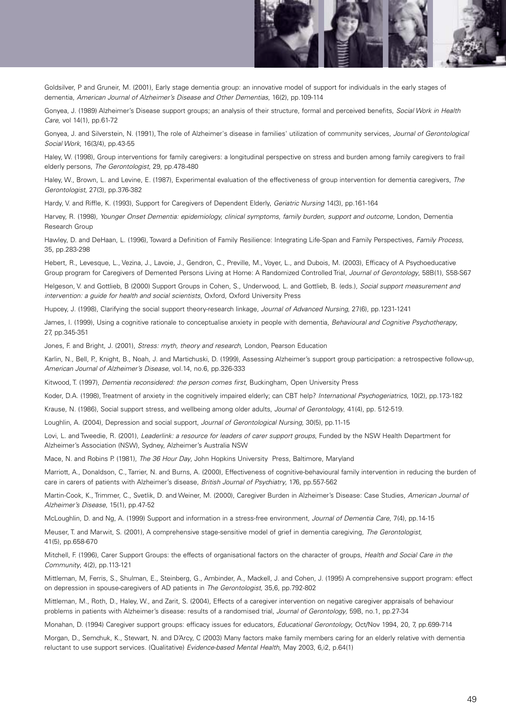

Goldsilver, P and Gruneir, M. (2001), Early stage dementia group: an innovative model of support for individuals in the early stages of dementia, American Journal of Alzheimer's Disease and Other Dementias, 16(2), pp.109-114

Gonyea, J. (1989) Alzheimer's Disease support groups; an analysis of their structure, formal and perceived benefits, Social Work in Health Care, vol 14(1), pp.61-72

Gonyea, J. and Silverstein, N. (1991), The role of Alzheimer's disease in families' utilization of community services, Journal of Gerontological Social Work, 16(3/4), pp. 43-55

Haley, W. (1998), Group interventions for family caregivers: a longitudinal perspective on stress and burden among family caregivers to frail elderly persons, The Gerontologist, 29, pp.478-480

Haley, W., Brown, L. and Levine, E. (1987), Experimental evaluation of the effectiveness of group intervention for dementia caregivers, The Gerontologist, 27(3), pp.376-382

Hardy, V. and Riffle, K. (1993), Support for Caregivers of Dependent Elderly, Geriatric Nursing 14(3), pp.161-164

Harvey, R. (1998), Younger Onset Dementia: epidemiology, clinical symptoms, family burden, support and outcome, London, Dementia Research Group

Hawley, D. and DeHaan, L. (1996), Toward a Definition of Family Resilience: Integrating Life-Span and Family Perspectives, Family Process, 35, pp.283-298

Hebert, R., Levesque, L., Vezina, J., Lavoie, J., Gendron, C., Preville, M., Voyer, L., and Dubois, M. (2003), Efficacy of A Psychoeducative Group program for Caregivers of Demented Persons Living at Home: A Randomized Controlled Trial, Journal of Gerontology, 58B(1), S58-S67

Helgeson, V. and Gottlieb, B (2000) Support Groups in Cohen, S., Underwood, L. and Gottlieb, B. (eds.), Social support measurement and intervention: a guide for health and social scientists, Oxford, Oxford University Press

Hupcey, J. (1998), Clarifying the social support theory-research linkage, Journal of Advanced Nursing, 27(6), pp.1231-1241

James, I. (1999), Using a cognitive rationale to conceptualise anxiety in people with dementia, Behavioural and Cognitive Psychotherapy, 27, pp.345-351

Jones, F. and Bright, J. (2001), Stress: myth, theory and research, London, Pearson Education

Karlin, N., Bell, P., Knight, B., Noah, J. and Martichuski, D. (1999), Assessing Alzheimer's support group participation: a retrospective follow-up, American Journal of Alzheimer's Disease, vol.14, no.6, pp.326-333

Kitwood, T. (1997), *Dementia reconsidered: the person comes first*, Buckingham, Open University Press

Koder, D.A. (1998), Treatment of anxiety in the cognitively impaired elderly; can CBT help? International Psychogeriatrics, 10(2), pp.173-182

Krause, N. (1986), Social support stress, and wellbeing among older adults, Journal of Gerontology, 41(4), pp. 512-519.

Loughlin, A. (2004), Depression and social support, Journal of Gerontological Nursing, 30(5), pp.11-15

Lovi, L. and Tweedie, R. (2001), Leaderlink: a resource for leaders of carer support groups, Funded by the NSW Health Department for Alzheimer's Association (NSW), Sydney, Alzheimer's Australia NSW

Mace, N. and Robins P. (1981), The 36 Hour Day, John Hopkins University Press, Baltimore, Maryland

Marriott, A., Donaldson, C., Tarrier, N. and Burns, A. (2000), Effectiveness of cognitive-behavioural family intervention in reducing the burden of care in carers of patients with Alzheimer's disease, British Journal of Psychiatry, 176, pp.557-562

Martin-Cook, K., Trimmer, C., Svetlik, D. and Weiner, M. (2000), Caregiver Burden in Alzheimer's Disease: Case Studies, American Journal of Alzheimer's Disease, 15(1), pp.47-52

McLoughlin, D. and Ng, A. (1999) Support and information in a stress-free environment, Journal of Dementia Care, 7(4), pp.14-15

Meuser, T. and Marwit, S. (2001), A comprehensive stage-sensitive model of grief in dementia caregiving, The Gerontologist, 41(5), pp.658-670

Mitchell, F. (1996), Carer Support Groups: the effects of organisational factors on the character of groups, Health and Social Care in the Community, 4(2), pp.113-121

Mittleman, M, Ferris, S., Shulman, E., Steinberg, G., Ambinder, A., Mackell, J. and Cohen, J. (1995) A comprehensive support program: effect on depression in spouse-caregivers of AD patients in The Gerontologist, 35,6, pp.792-802

Mittleman, M., Roth, D., Haley, W., and Zarit, S. (2004), Effects of a caregiver intervention on negative caregiver appraisals of behaviour problems in patients with Alzheimer's disease: results of a randomised trial, Journal of Gerontology, 59B, no.1, pp.27-34

Monahan, D. (1994) Caregiver support groups: efficacy issues for educators, Educational Gerontology, Oct/Nov 1994, 20, 7, pp.699-714

Morgan, D., Semchuk, K., Stewart, N. and D'Arcy, C (2003) Many factors make family members caring for an elderly relative with dementia reluctant to use support services. (Qualitative) Evidence-based Mental Health, May 2003, 6,i2, p.64(1)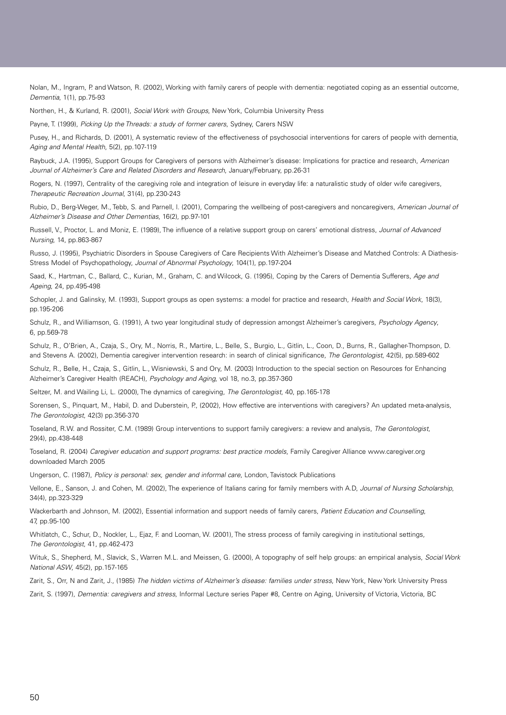Nolan, M., Ingram, P. and Watson, R. (2002), Working with family carers of people with dementia: negotiated coping as an essential outcome, Dementia, 1(1), pp.75-93

Northen, H., & Kurland, R. (2001), Social Work with Groups, New York, Columbia University Press

Payne, T. (1999), Picking Up the Threads: a study of former carers, Sydney, Carers NSW

Pusey, H., and Richards, D. (2001), A systematic review of the effectiveness of psychosocial interventions for carers of people with dementia, Aging and Mental Health, 5(2), pp.107-119

Raybuck, J.A. (1995), Support Groups for Caregivers of persons with Alzheimer's disease: Implications for practice and research, American Journal of Alzheimer's Care and Related Disorders and Research, January/February, pp.26-31

Rogers, N. (1997), Centrality of the caregiving role and integration of leisure in everyday life: a naturalistic study of older wife caregivers, Therapeutic Recreation Journal, 31(4), pp.230-243

Rubio, D., Berg-Weger, M., Tebb, S. and Parnell, I. (2001), Comparing the wellbeing of post-caregivers and noncaregivers, American Journal of Alzheimer's Disease and Other Dementias, 16(2), pp.97-101

Russell, V., Proctor, L. and Moniz, E. (1989), The influence of a relative support group on carers' emotional distress, Journal of Advanced Nursing, 14, pp.863-867

Russo, J. (1995), Psychiatric Disorders in Spouse Caregivers of Care Recipients With Alzheimer's Disease and Matched Controls: A Diathesis-Stress Model of Psychopathology, Journal of Abnormal Psychology, 104(1), pp.197-204

Saad, K., Hartman, C., Ballard, C., Kurian, M., Graham, C. and Wilcock, G. (1995), Coping by the Carers of Dementia Sufferers, Age and Ageing, 24, pp.495-498

Schopler, J. and Galinsky, M. (1993), Support groups as open systems: a model for practice and research, Health and Social Work, 18(3), pp.195-206

Schulz, R., and Williamson, G. (1991), A two year longitudinal study of depression amongst Alzheimer's caregivers, Psychology Agency, 6, pp.569-78

Schulz, R., O'Brien, A., Czaja, S., Ory, M., Norris, R., Martire, L., Belle, S., Burgio, L., Gitlin, L., Coon, D., Burns, R., Gallagher-Thompson, D. and Stevens A. (2002), Dementia caregiver intervention research: in search of clinical significance, The Gerontologist, 42(5), pp.589-602

Schulz, R., Belle, H., Czaja, S., Gitlin, L., Wisniewski, S and Ory, M. (2003) Introduction to the special section on Resources for Enhancing Alzheimer's Caregiver Health (REACH), Psychology and Aging, vol 18, no.3, pp.357-360

Seltzer, M. and Wailing Li, L. (2000), The dynamics of caregiving, The Gerontologist, 40, pp.165-178

Sorensen, S., Pinquart, M., Habil, D. and Duberstein, P., (2002), How effective are interventions with caregivers? An updated meta-analysis, The Gerontologist, 42(3) pp.356-370

Toseland, R.W. and Rossiter, C.M. (1989) Group interventions to support family caregivers: a review and analysis, The Gerontologist, 29(4), pp.438-448

Toseland, R. (2004) Caregiver education and support programs: best practice models, Family Caregiver Alliance www.caregiver.org downloaded March 2005

Ungerson, C. (1987), Policy is personal: sex, gender and informal care, London, Tavistock Publications

Vellone, E., Sanson, J. and Cohen, M. (2002), The experience of Italians caring for family members with A.D, Journal of Nursing Scholarship, 34(4), pp.323-329

Wackerbarth and Johnson, M. (2002), Essential information and support needs of family carers, Patient Education and Counselling, 47, pp.95-100

Whitlatch, C., Schur, D., Nockler, L., Ejaz, F. and Looman, W. (2001), The stress process of family caregiving in institutional settings, The Gerontologist, 41, pp.462-473

Wituk, S., Shepherd, M., Slavick, S., Warren M.L. and Meissen, G. (2000), A topography of self help groups: an empirical analysis, Social Work National ASW, 45(2), pp.157-165

Zarit, S., Orr, N and Zarit, J., (1985) The hidden victims of Alzheimer's disease: families under stress, New York, New York University Press

Zarit, S. (1997), Dementia: caregivers and stress, Informal Lecture series Paper #8, Centre on Aging, University of Victoria, Victoria, BC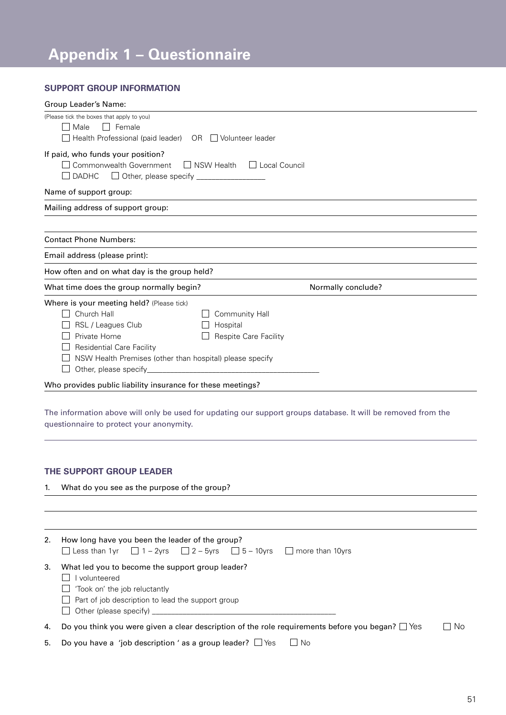# **Appendix 1 – Questionnaire**

#### **SUPPORT GROUP INFORMATION**

| Group Leader's Name:                                                                                                                                                                                                                                                            |                    |
|---------------------------------------------------------------------------------------------------------------------------------------------------------------------------------------------------------------------------------------------------------------------------------|--------------------|
| (Please tick the boxes that apply to you)<br>Female<br>Male<br>$\perp$<br>Health Professional (paid leader) OR □ Volunteer leader                                                                                                                                               |                    |
| If paid, who funds your position?<br>Commonwealth Government<br>NSW Health<br>$\Box$ Local Council<br><b>DADHC</b>                                                                                                                                                              |                    |
| Name of support group:                                                                                                                                                                                                                                                          |                    |
| Mailing address of support group:                                                                                                                                                                                                                                               |                    |
|                                                                                                                                                                                                                                                                                 |                    |
| <b>Contact Phone Numbers:</b>                                                                                                                                                                                                                                                   |                    |
| Email address (please print):                                                                                                                                                                                                                                                   |                    |
| How often and on what day is the group held?                                                                                                                                                                                                                                    |                    |
| What time does the group normally begin?                                                                                                                                                                                                                                        | Normally conclude? |
| Where is your meeting held? (Please tick)<br>Church Hall<br>Community Hall<br>RSL / Leagues Club<br>Hospital<br>Private Home<br>Respite Care Facility<br><b>Residential Care Facility</b><br>NSW Health Premises (other than hospital) please specify<br>Other, please specify_ |                    |
| Who provides public liability insurance for these meetings?                                                                                                                                                                                                                     |                    |

The information above will only be used for updating our support groups database. It will be removed from the questionnaire to protect your anonymity.

### **THE SUPPORT GROUP LEADER**

1. What do you see as the purpose of the group?

| 2. | How long have you been the leader of the group?<br>□ Less than 1yr □ 1 - 2yrs □ 2 - 5yrs □ 5 - 10yrs □ more than 10yrs                                                                 |        |
|----|----------------------------------------------------------------------------------------------------------------------------------------------------------------------------------------|--------|
| 3. | What led you to become the support group leader?<br>volunteered<br>'Took on' the job reluctantly<br>$\Box$ Part of job description to lead the support group<br>Other (please specify) |        |
| 4. | Do you think you were given a clear description of the role requirements before you began? $\Box$ Yes                                                                                  | – I No |
| 5. | Do you have a 'job description' as a group leader? $\Box$ Yes<br>No                                                                                                                    |        |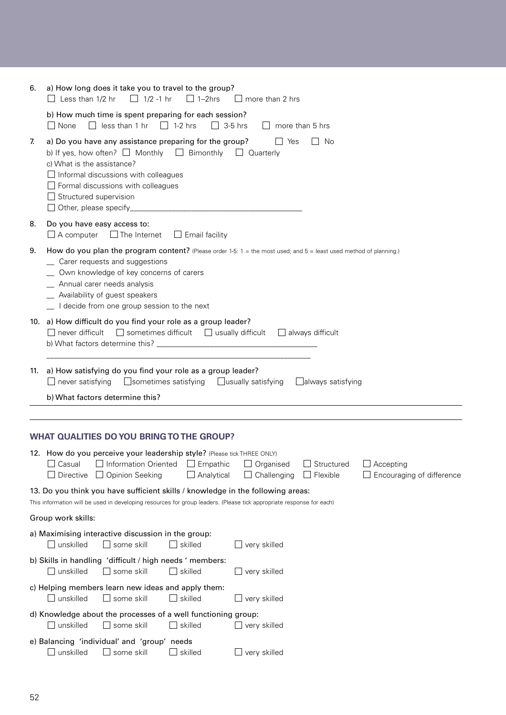| 6. | a) How long does it take you to travel to the group?<br>$\Box$ 1/2 -1 hr<br>$\Box$ 1-2hrs<br>$\Box$ Less than 1/2 hr<br>$\Box$ more than 2 hrs                                                                                                                                                                                        |
|----|---------------------------------------------------------------------------------------------------------------------------------------------------------------------------------------------------------------------------------------------------------------------------------------------------------------------------------------|
|    | b) How much time is spent preparing for each session?<br>$\Box$ less than 1 hr $\Box$ 1-2 hrs<br>$\Box$ None<br>$\Box$ 3-5 hrs<br>$\Box$ more than 5 hrs                                                                                                                                                                              |
| 7. | a) Do you have any assistance preparing for the group?<br>Yes<br>$\Box$ No<br>b) If yes, how often? $\Box$ Monthly $\Box$ Bimonthly<br>□ Quarterly<br>c) What is the assistance?<br>$\Box$ Informal discussions with colleagues<br>$\Box$ Formal discussions with colleagues<br>$\Box$ Structured supervision                         |
| 8. | Do you have easy access to:<br>$\Box$ A computer<br>$\Box$ The Internet $\Box$ Email facility                                                                                                                                                                                                                                         |
| 9. | How do you plan the program content? (Please order 1-5: 1 = the most used; and $5 =$ least used method of planning.)<br>_ Carer requests and suggestions<br>_ Own knowledge of key concerns of carers<br>_ Annual carer needs analysis<br>_ Availability of guest speakers<br>_ I decide from one group session to the next           |
|    | 10. a) How difficult do you find your role as a group leader?<br>$\Box$ never difficult<br>$\Box$ sometimes difficult $\Box$ usually difficult $\Box$ always difficult                                                                                                                                                                |
|    | 11. a) How satisfying do you find your role as a group leader?<br>$\Box$ never satisfying<br>Sometimes satisfying<br>$\Box$ usually satisfying<br>$\Box$ always satisfying                                                                                                                                                            |
|    | b) What factors determine this?                                                                                                                                                                                                                                                                                                       |
|    |                                                                                                                                                                                                                                                                                                                                       |
|    | <b>WHAT QUALITIES DO YOU BRING TO THE GROUP?</b><br>12. How do you perceive your leadership style? (Please tick THREE ONLY)<br>Information Oriented<br>Empathic<br>Organised<br>Structured<br>$\Box$ Accepting<br>Casual<br>Challenging<br>Flexible<br>Encouraging of difference<br>Directive<br><b>Opinion Seeking</b><br>Analytical |
|    | 13. Do you think you have sufficient skills / knowledge in the following areas:<br>This information will be used in developing resources for group leaders. (Please tick appropriate response for each)                                                                                                                               |
|    | Group work skills:                                                                                                                                                                                                                                                                                                                    |
|    | a) Maximising interactive discussion in the group:<br>some skill<br>unskilled<br>$\Box$ skilled<br>$\Box$ very skilled<br>$\mathbf{I}$                                                                                                                                                                                                |
|    | b) Skills in handling 'difficult / high needs ' members:<br>$\Box$ unskilled<br>$\Box$ some skill<br>$\Box$ skilled<br>$\Box$ very skilled                                                                                                                                                                                            |
|    | c) Helping members learn new ideas and apply them:<br>some skill<br>$\sqcup$ skilled<br>∟ very skilled                                                                                                                                                                                                                                |
|    | d) Knowledge about the processes of a well functioning group:<br>unskilled<br>some skill<br>$\Box$ skilled<br>$\Box$ very skilled                                                                                                                                                                                                     |
|    | e) Balancing 'individual' and 'group' needs<br>unskilled<br>$\perp$<br>some skill<br>skilled<br>very skilled                                                                                                                                                                                                                          |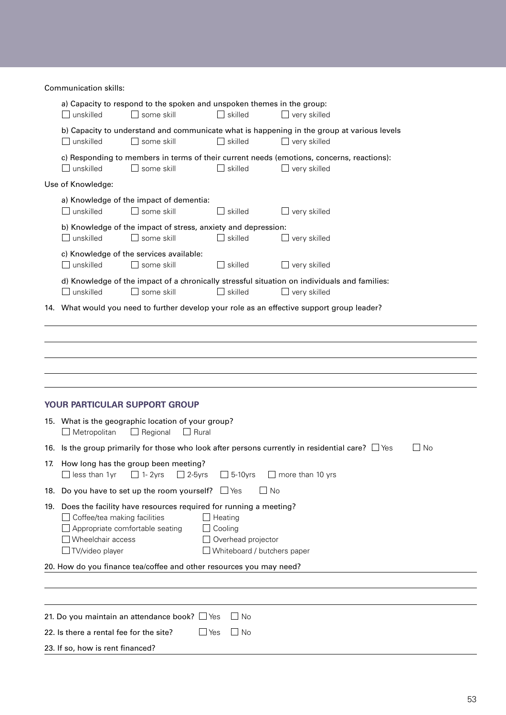Communication skills:

| a) Capacity to respond to the spoken and unspoken themes in the group:<br>$\Box$ unskilled<br>$\Box$ some skill<br>$\Box$ skilled<br>$\Box$ very skilled                                                                                                                                                                                                                                          |           |
|---------------------------------------------------------------------------------------------------------------------------------------------------------------------------------------------------------------------------------------------------------------------------------------------------------------------------------------------------------------------------------------------------|-----------|
| b) Capacity to understand and communicate what is happening in the group at various levels<br>$\Box$ unskilled<br>$\Box$ some skill<br>skilled<br>$\Box$ very skilled                                                                                                                                                                                                                             |           |
| c) Responding to members in terms of their current needs (emotions, concerns, reactions):<br>unskilled<br>some skill<br>skilled<br>$\Box$ very skilled                                                                                                                                                                                                                                            |           |
| Use of Knowledge:                                                                                                                                                                                                                                                                                                                                                                                 |           |
| a) Knowledge of the impact of dementia:<br>$\Box$ unskilled<br>$\square$ some skill<br>$\Box$ skilled<br>$\Box$ very skilled                                                                                                                                                                                                                                                                      |           |
| b) Knowledge of the impact of stress, anxiety and depression:<br>$\Box$ unskilled<br>$\square$ some skill<br>$\Box$ skilled<br>$\Box$ very skilled                                                                                                                                                                                                                                                |           |
| c) Knowledge of the services available:<br>$\Box$ unskilled<br>$\Box$ some skill<br>skilled<br>$\Box$ very skilled                                                                                                                                                                                                                                                                                |           |
| d) Knowledge of the impact of a chronically stressful situation on individuals and families:<br>$\Box$ unskilled<br>skilled<br>some skill<br>$\Box$ very skilled                                                                                                                                                                                                                                  |           |
| 14. What would you need to further develop your role as an effective support group leader?                                                                                                                                                                                                                                                                                                        |           |
| YOUR PARTICULAR SUPPORT GROUP<br>15. What is the geographic location of your group?<br>$\Box$ Metropolitan<br>$\Box$ Regional<br>$\Box$ Rural<br>16. Is the group primarily for those who look after persons currently in residential care? $\Box$ Yes<br>17. How long has the group been meeting?<br>$\Box$ less than 1yr $\Box$ 1-2yrs<br>$\Box$ 2-5 yrs<br>$\Box$ 5-10 vrs<br>more than 10 yrs | $\Box$ No |
| 18. Do you have to set up the room yourself? $\Box$ Yes<br>– I No                                                                                                                                                                                                                                                                                                                                 |           |
| 19. Does the facility have resources required for running a meeting?<br>$\Box$ Coffee/tea making facilities<br>$\Box$ Heating<br>Appropriate comfortable seating<br>Cooling<br>Wheelchair access<br>Overhead projector<br>$\Box$ TV/video player<br>Whiteboard / butchers paper                                                                                                                   |           |
| 20. How do you finance tea/coffee and other resources you may need?                                                                                                                                                                                                                                                                                                                               |           |
|                                                                                                                                                                                                                                                                                                                                                                                                   |           |
|                                                                                                                                                                                                                                                                                                                                                                                                   |           |
| 21. Do you maintain an attendance book? $\Box$ Yes<br>$\Box$ No                                                                                                                                                                                                                                                                                                                                   |           |
| 22. Is there a rental fee for the site?<br>$\Box$ No<br>$\Box$ Yes                                                                                                                                                                                                                                                                                                                                |           |
| 23. If so, how is rent financed?                                                                                                                                                                                                                                                                                                                                                                  |           |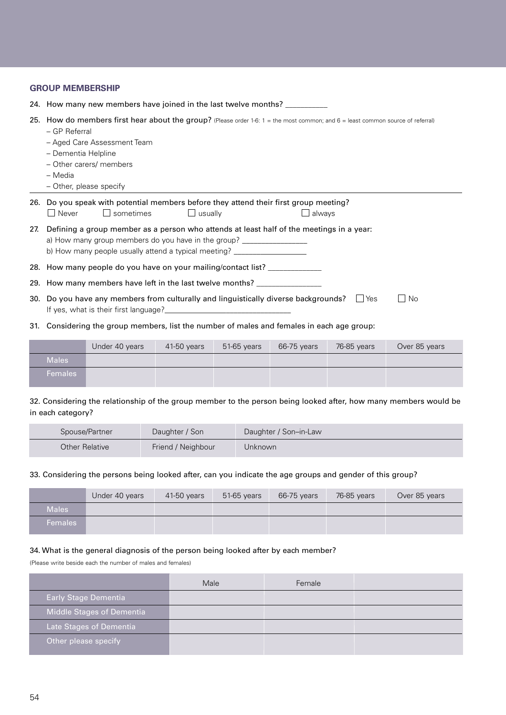|     | <b>GROUP MEMBERSHIP</b>                                                                                                                                                                                                                                                 |  |  |  |  |
|-----|-------------------------------------------------------------------------------------------------------------------------------------------------------------------------------------------------------------------------------------------------------------------------|--|--|--|--|
|     | 24. How many new members have joined in the last twelve months? __________                                                                                                                                                                                              |  |  |  |  |
| 25. | How do members first hear about the group? (Please order 1-6: $1 =$ the most common; and $6 =$ least common source of referral)<br>- GP Referral<br>- Aged Care Assessment Team<br>- Dementia Helpline<br>- Other carers/ members<br>- Media<br>- Other, please specify |  |  |  |  |
|     | 26. Do you speak with potential members before they attend their first group meeting?<br>$\Box$ sometimes<br>$\Box$ Never<br>$\Box$ usually<br>always                                                                                                                   |  |  |  |  |
| 27. | Defining a group member as a person who attends at least half of the meetings in a year:<br>a) How many group members do you have in the group? ____________________________<br>b) How many people usually attend a typical meeting? ___________________________        |  |  |  |  |
|     | 28. How many people do you have on your mailing/contact list? _____________                                                                                                                                                                                             |  |  |  |  |
|     | 29. How many members have left in the last twelve months? _________________                                                                                                                                                                                             |  |  |  |  |
|     | 30. Do you have any members from culturally and linguistically diverse backgrounds?<br>$\Box$ No<br>l IYes<br>If yes, what is their first language?                                                                                                                     |  |  |  |  |

31. Considering the group members, list the number of males and females in each age group:

|                | Under 40 years | $41-50$ years | $51-65$ years | 66-75 years | 76-85 years | Over 85 years |
|----------------|----------------|---------------|---------------|-------------|-------------|---------------|
| <b>Males</b>   |                |               |               |             |             |               |
| <b>Females</b> |                |               |               |             |             |               |

32. Considering the relationship of the group member to the person being looked after, how many members would be in each category?

| Spouse/Partner | Daughter / Son     | Daughter / Son-in-Law |
|----------------|--------------------|-----------------------|
| Other Relative | Friend / Neighbour | Unknown               |

#### 33. Considering the persons being looked after, can you indicate the age groups and gender of this group?

|                | Under 40 years | 41-50 years | 51-65 years | 66-75 years | 76-85 years | Over 85 years |
|----------------|----------------|-------------|-------------|-------------|-------------|---------------|
| <b>Males</b>   |                |             |             |             |             |               |
| <b>Females</b> |                |             |             |             |             |               |

#### 34. What is the general diagnosis of the person being looked after by each member?

(Please write beside each the number of males and females)

|                             | Male | Female |  |
|-----------------------------|------|--------|--|
| <b>Early Stage Dementia</b> |      |        |  |
| Middle Stages of Dementia   |      |        |  |
| Late Stages of Dementia     |      |        |  |
| Other please specify        |      |        |  |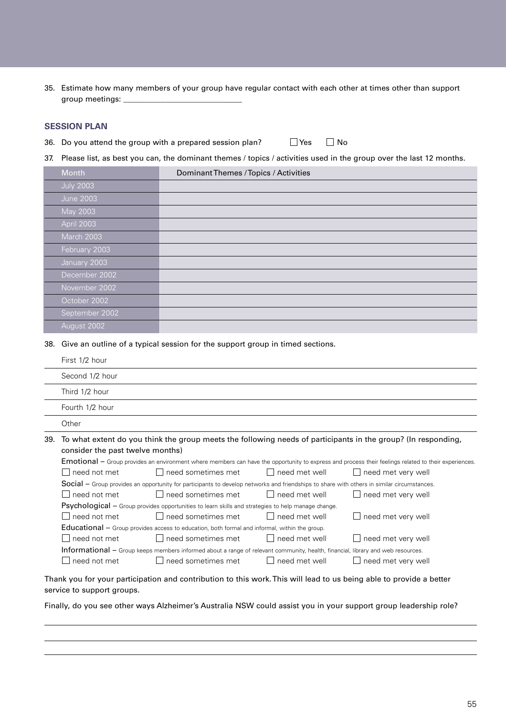35. Estimate how many members of your group have regular contact with each other at times other than support group meetings:

#### **SESSION PLAN**

36. Do you attend the group with a prepared session plan?  $\Box$  Yes  $\Box$  No

37. Please list, as best you can, the dominant themes / topics / activities used in the group over the last 12 months.

| Month            | Dominant Themes / Topics / Activities |  |
|------------------|---------------------------------------|--|
| <b>July 2003</b> |                                       |  |
| <b>June 2003</b> |                                       |  |
| May 2003         |                                       |  |
| April 2003       |                                       |  |
| March 2003       |                                       |  |
| February 2003    |                                       |  |
| January 2003     |                                       |  |
| December 2002    |                                       |  |
| November 2002    |                                       |  |
| October 2002     |                                       |  |
| September 2002   |                                       |  |
| August 2002      |                                       |  |

38. Give an outline of a typical session for the support group in timed sections.

| First 1/2 hour                                                                                                                                        |  |  |
|-------------------------------------------------------------------------------------------------------------------------------------------------------|--|--|
| Second 1/2 hour                                                                                                                                       |  |  |
| Third 1/2 hour                                                                                                                                        |  |  |
| Fourth 1/2 hour                                                                                                                                       |  |  |
| Other                                                                                                                                                 |  |  |
| 39. To what extent do you think the group meets the following needs of participants in the group? (In responding,<br>consider the past twelve months) |  |  |

|                                                                                                                                        | Emotional - Group provides an environment where members can have the opportunity to express and process their feelings related to their experiences. |                           |                      |                                    |  |  |
|----------------------------------------------------------------------------------------------------------------------------------------|------------------------------------------------------------------------------------------------------------------------------------------------------|---------------------------|----------------------|------------------------------------|--|--|
|                                                                                                                                        | $\Box$ need not met                                                                                                                                  | $\Box$ need sometimes met | $\Box$ need met well | $\Box$ need met very well          |  |  |
|                                                                                                                                        | <b>Social</b> – Group provides an opportunity for participants to develop networks and friendships to share with others in similar circumstances.    |                           |                      |                                    |  |  |
|                                                                                                                                        | $\Box$ need not met                                                                                                                                  | $\Box$ need sometimes met | $\Box$ need met well | $\Box$ need met very well          |  |  |
| <b>Psychological</b> – Group provides opportunities to learn skills and strategies to help manage change.                              |                                                                                                                                                      |                           |                      |                                    |  |  |
|                                                                                                                                        | $\Box$ need not met                                                                                                                                  | $\Box$ need sometimes met | $\Box$ need met well | $\Box$ need met very well          |  |  |
| <b>Educational</b> – Group provides access to education, both formal and informal, within the group.                                   |                                                                                                                                                      |                           |                      |                                    |  |  |
|                                                                                                                                        | $\Box$ need not met                                                                                                                                  | $\Box$ need sometimes met | $\Box$ need met well | $\Box$ need met very well          |  |  |
| <b>Informational</b> – Group keeps members informed about a range of relevant community, health, financial, library and web resources. |                                                                                                                                                      |                           |                      |                                    |  |  |
|                                                                                                                                        | $\Box$ need not met                                                                                                                                  | $\Box$ need sometimes met | $\Box$ need met well | need met very well<br>$\mathbf{I}$ |  |  |
|                                                                                                                                        |                                                                                                                                                      |                           |                      |                                    |  |  |

Thank you for your participation and contribution to this work. This will lead to us being able to provide a better service to support groups.

Finally, do you see other ways Alzheimer's Australia NSW could assist you in your support group leadership role?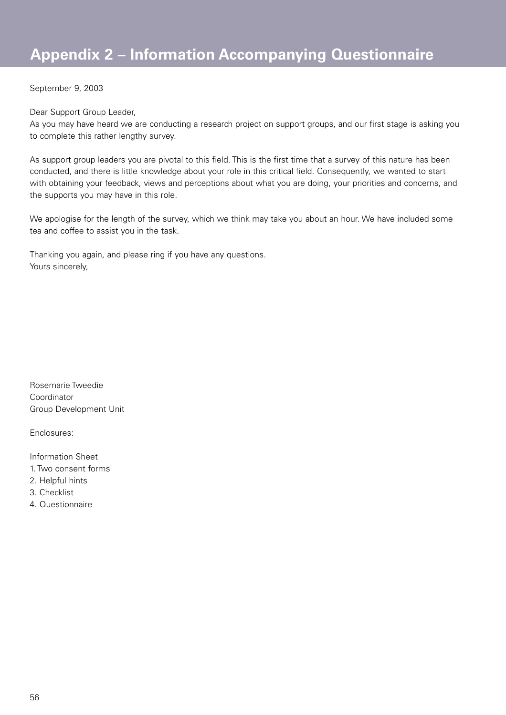September 9, 2003

Dear Support Group Leader,

As you may have heard we are conducting a research project on support groups, and our first stage is asking you to complete this rather lengthy survey.

As support group leaders you are pivotal to this field. This is the first time that a survey of this nature has been conducted, and there is little knowledge about your role in this critical field. Consequently, we wanted to start with obtaining your feedback, views and perceptions about what you are doing, your priorities and concerns, and the supports you may have in this role.

We apologise for the length of the survey, which we think may take you about an hour. We have included some tea and coffee to assist you in the task.

Thanking you again, and please ring if you have any questions. Yours sincerely.

Rosemarie Tweedie Coordinator Group Development Unit

Enclosures:

Information Sheet

- 1. Two consent forms
- 2. Helpful hints
- 3. Checklist
- 4. Questionnaire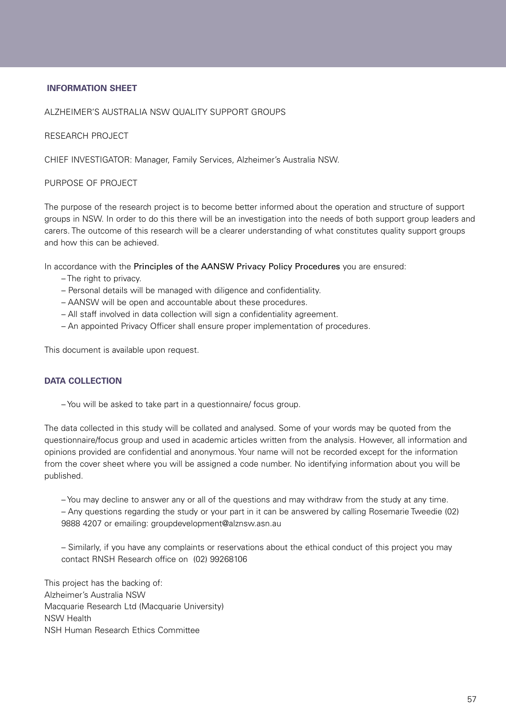#### **INFORMATION SHEET**

#### ALZHEIMER'S AUSTRALIA NSW QUALITY SUPPORT GROUPS

RESEARCH PROJECT

CHIEF INVESTIGATOR: Manager, Family Services, Alzheimer's Australia NSW.

#### PURPOSE OF PROJECT

The purpose of the research project is to become better informed about the operation and structure of support groups in NSW. In order to do this there will be an investigation into the needs of both support group leaders and carers. The outcome of this research will be a clearer understanding of what constitutes quality support groups and how this can be achieved.

In accordance with the Principles of the AANSW Privacy Policy Procedures you are ensured:

- The right to privacy.
- Personal details will be managed with diligence and confidentiality.
- AANSW will be open and accountable about these procedures.
- All staff involved in data collection will sign a confidentiality agreement.
- An appointed Privacy Officer shall ensure proper implementation of procedures.

This document is available upon request.

#### **DATA COLLECTION**

– You will be asked to take part in a questionnaire/ focus group.

The data collected in this study will be collated and analysed. Some of your words may be quoted from the questionnaire/focus group and used in academic articles written from the analysis. However, all information and opinions provided are confidential and anonymous. Your name will not be recorded except for the information from the cover sheet where you will be assigned a code number. No identifying information about you will be published.

– You may decline to answer any or all of the questions and may withdraw from the study at any time. – Any questions regarding the study or your part in it can be answered by calling Rosemarie Tweedie (02) 9888 4207 or emailing: groupdevelopment@alznsw.asn.au

– Similarly, if you have any complaints or reservations about the ethical conduct of this project you may contact RNSH Research office on (02) 99268106

This project has the backing of: Alzheimer's Australia NSW Macquarie Research Ltd (Macquarie University) NSW Health NSH Human Research Ethics Committee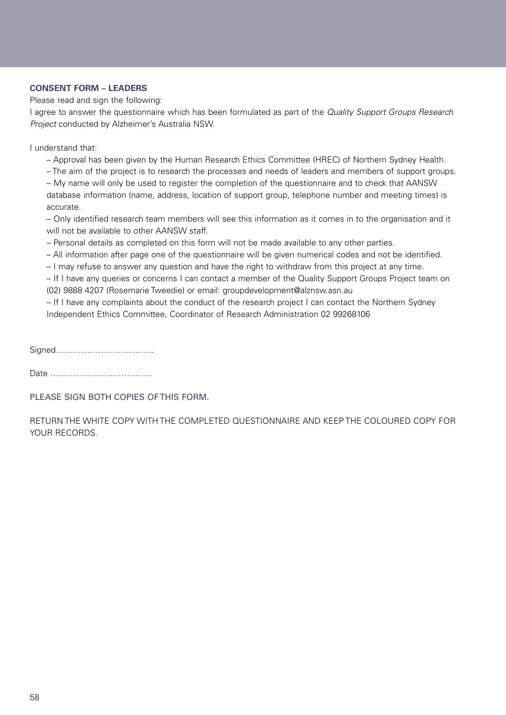#### **CONSENT FORM – LEADERS**

Please read and sign the following:

I agree to answer the questionnaire which has been formulated as part of the Quality Support Groups Research Project conducted by Alzheimer's Australia NSW.

I understand that:

– Approval has been given by the Human Research Ethics Committee (HREC) of Northern Sydney Health.

– The aim of the project is to research the processes and needs of leaders and members of support groups.

– My name will only be used to register the completion of the questionnaire and to check that AANSW database information (name, address, location of support group, telephone number and meeting times) is accurate.

– Only identified research team members will see this information as it comes in to the organisation and it will not be available to other AANSW staff.

– Personal details as completed on this form will not be made available to any other parties.

– All information after page one of the questionnaire will be given numerical codes and not be identified.

– I may refuse to answer any question and have the right to withdraw from this project at any time.

– If I have any queries or concerns I can contact a member of the Quality Support Groups Project team on (02) 9888 4207 (Rosemarie Tweedie) or email: groupdevelopment@alznsw.asn.au

– If I have any complaints about the conduct of the research project I can contact the Northern Sydney Independent Ethics Committee, Coordinator of Research Administration 02 99268106

Signed……………………………..

Date ………………………………

PLEASE SIGN BOTH COPIES OF THIS FORM.

RETURN THE WHITE COPY WITH THE COMPLETED QUESTIONNAIRE AND KEEP THE COLOURED COPY FOR YOUR RECORDS.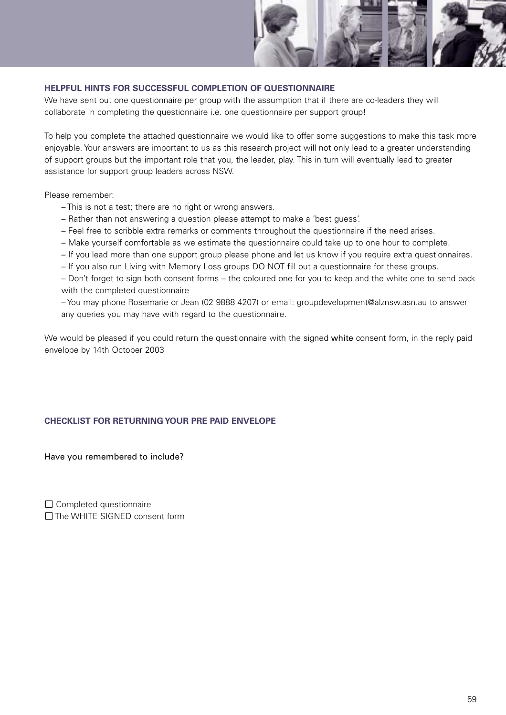

#### **HELPFUL HINTS FOR SUCCESSFUL COMPLETION OF QUESTIONNAIRE**

We have sent out one questionnaire per group with the assumption that if there are co-leaders they will collaborate in completing the questionnaire i.e. one questionnaire per support group!

To help you complete the attached questionnaire we would like to offer some suggestions to make this task more enjoyable. Your answers are important to us as this research project will not only lead to a greater understanding of support groups but the important role that you, the leader, play. This in turn will eventually lead to greater assistance for support group leaders across NSW.

Please remember:

- This is not a test; there are no right or wrong answers.
- Rather than not answering a question please attempt to make a 'best guess'.
- Feel free to scribble extra remarks or comments throughout the questionnaire if the need arises.
- Make yourself comfortable as we estimate the questionnaire could take up to one hour to complete.
- If you lead more than one support group please phone and let us know if you require extra questionnaires.
- If you also run Living with Memory Loss groups DO NOT fill out a questionnaire for these groups.

– Don't forget to sign both consent forms – the coloured one for you to keep and the white one to send back with the completed questionnaire

– You may phone Rosemarie or Jean (02 9888 4207) or email: groupdevelopment@alznsw.asn.au to answer any queries you may have with regard to the questionnaire.

We would be pleased if you could return the questionnaire with the signed white consent form, in the reply paid envelope by 14th October 2003

#### **CHECKLIST FOR RETURNING YOUR PRE PAID ENVELOPE**

Have you remembered to include?

 $\Box$  Completed questionnaire The WHITE SIGNED consent form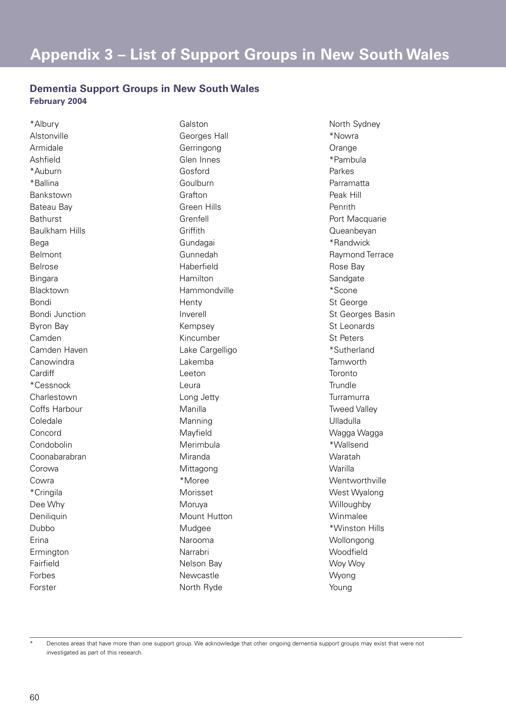### **Dementia Support Groups in New South Wales February 2004**

\*Albury Alstonville Armidale Ashfield \*Auburn \*Ballina Bankstown Bateau Bay **Bathurst** Baulkham Hills Bega Belmont Belrose Bingara Blacktown Bondi Bondi Junction Byron Bay Camden Camden Haven **Canowindra Cardiff** \*Cessnock Charlestown Coffs Harbour Coledale Concord Condobolin Coonabarabran Corowa Cowra \*Cringila Dee Why Deniliquin Dubbo Erina Ermington Fairfield Forbes Forster

Galston Georges Hall Gerringong Glen Innes Gosford Goulburn Grafton Green Hills Grenfell **Griffith** Gundagai Gunnedah Haberfield Hamilton Hammondville **Henty** Inverell Kempsey Kincumber Lake Cargelligo Lakemba Leeton Leura Long Jetty Manilla Manning Mayfield Merimbula Miranda Mittagong \*Moree Morisset Moruya Mount Hutton Mudgee Narooma Narrabri Nelson Bay Newcastle North Ryde

North Sydney \*Nowra **Orange** \*Pambula Parkes Parramatta Peak Hill Penrith Port Macquarie Queanbeyan \*Randwick Raymond Terrace Rose Bay **Sandgate** \*Scone St George St Georges Basin St Leonards St Peters \*Sutherland **Tamworth** Toronto **Trundle** Turramurra Tweed Valley Ulladulla Wagga Wagga \*Wallsend Waratah Warilla Wentworthville West Wyalong **Willoughby** Winmalee \*Winston Hills Wollongong **Woodfield** Woy Woy Wyong Young

Denotes areas that have more than one support group. We acknowledge that other ongoing dementia support groups may exist that were not investigated as part of this research.